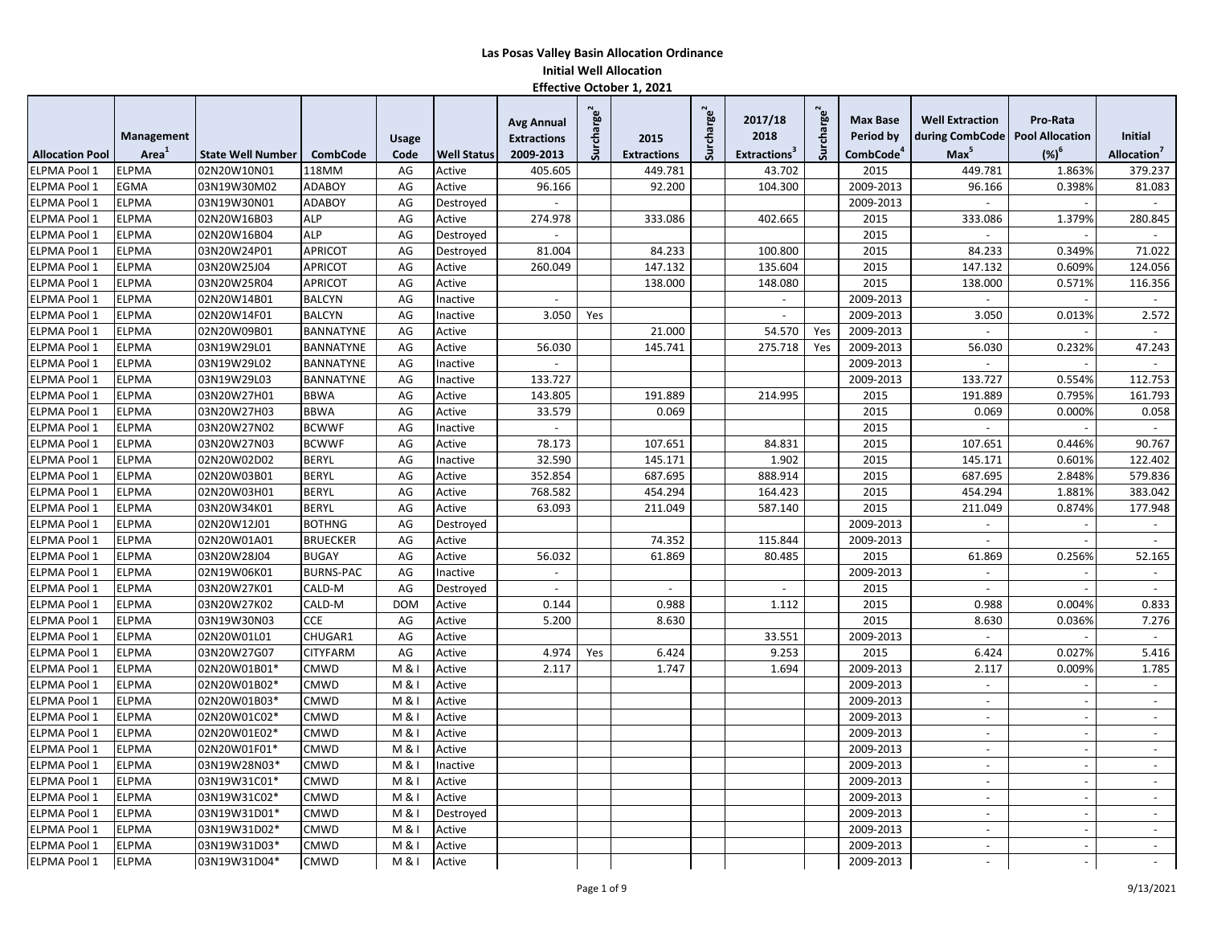|                        |                   |                          |                  |              |                    | <b>Avg Annual</b>        | Surcharge <sup>2</sup> |                    | Surcharge <sup>2</sup> | 2017/18                  | Surcharge <sup>2</sup> | <b>Max Base</b>       | <b>Well Extraction</b>            | Pro-Rata                 |                          |
|------------------------|-------------------|--------------------------|------------------|--------------|--------------------|--------------------------|------------------------|--------------------|------------------------|--------------------------|------------------------|-----------------------|-----------------------------------|--------------------------|--------------------------|
|                        | Management        |                          |                  | <b>Usage</b> |                    | <b>Extractions</b>       |                        | 2015               |                        | 2018                     |                        | Period by             | during CombCode   Pool Allocation |                          | <b>Initial</b>           |
| <b>Allocation Pool</b> | Area <sup>1</sup> | <b>State Well Number</b> | <b>CombCode</b>  | Code         | <b>Well Status</b> | 2009-2013                |                        | <b>Extractions</b> |                        | Extractions <sup>3</sup> |                        | CombCode <sup>4</sup> | Max <sup>5</sup>                  | $(%)^6$                  | Allocation <sup>'</sup>  |
| <b>ELPMA Pool 1</b>    | <b>ELPMA</b>      | 02N20W10N01              | 118MM            | AG           | Active             | 405.605                  |                        | 449.781            |                        | 43.702                   |                        | 2015                  | 449.781                           | 1.863%                   | 379.237                  |
| ELPMA Pool 1           | EGMA              | 03N19W30M02              | <b>ADABOY</b>    | AG           | Active             | 96.166                   |                        | 92.200             |                        | 104.300                  |                        | 2009-2013             | 96.166                            | 0.398%                   | 81.083                   |
| ELPMA Pool 1           | <b>ELPMA</b>      | 03N19W30N01              | <b>ADABOY</b>    | AG           | Destroyed          |                          |                        |                    |                        |                          |                        | 2009-2013             |                                   |                          | $\overline{\phantom{a}}$ |
| ELPMA Pool 1           | ELPMA             | 02N20W16B03              | <b>ALP</b>       | AG           | Active             | 274.978                  |                        | 333.086            |                        | 402.665                  |                        | 2015                  | 333.086                           | 1.379%                   | 280.845                  |
| ELPMA Pool 1           | <b>ELPMA</b>      | 02N20W16B04              | <b>ALP</b>       | AG           | Destroyed          |                          |                        |                    |                        |                          |                        | 2015                  |                                   |                          |                          |
| ELPMA Pool 1           | <b>ELPMA</b>      | 03N20W24P01              | <b>APRICOT</b>   | AG           | Destroyed          | 81.004                   |                        | 84.233             |                        | 100.800                  |                        | 2015                  | 84.233                            | 0.349%                   | 71.022                   |
| ELPMA Pool 1           | <b>ELPMA</b>      | 03N20W25J04              | <b>APRICOT</b>   | AG           | Active             | 260.049                  |                        | 147.132            |                        | 135.604                  |                        | 2015                  | 147.132                           | 0.609%                   | 124.056                  |
| ELPMA Pool 1           | <b>ELPMA</b>      | 03N20W25R04              | <b>APRICOT</b>   | AG           | Active             |                          |                        | 138.000            |                        | 148.080                  |                        | 2015                  | 138.000                           | 0.571%                   | 116.356                  |
| ELPMA Pool 1           | <b>ELPMA</b>      | 02N20W14B01              | <b>BALCYN</b>    | AG           | Inactive           | $\sim$                   |                        |                    |                        | $\overline{\phantom{a}}$ |                        | 2009-2013             | $\overline{\phantom{a}}$          |                          | $\sim$                   |
| ELPMA Pool 1           | <b>ELPMA</b>      | 02N20W14F01              | <b>BALCYN</b>    | AG           | Inactive           | 3.050                    | Yes                    |                    |                        | $\blacksquare$           |                        | 2009-2013             | 3.050                             | 0.013%                   | 2.572                    |
| ELPMA Pool 1           | <b>ELPMA</b>      | 02N20W09B01              | <b>BANNATYNE</b> | AG           | Active             |                          |                        | 21.000             |                        | 54.570                   | Yes                    | 2009-2013             |                                   |                          | $\sim$                   |
| ELPMA Pool 1           | <b>ELPMA</b>      | 03N19W29L01              | <b>BANNATYNE</b> | AG           | Active             | 56.030                   |                        | 145.741            |                        | 275.718                  | Yes                    | 2009-2013             | 56.030                            | 0.232%                   | 47.243                   |
| ELPMA Pool 1           | ELPMA             | 03N19W29L02              | <b>BANNATYNE</b> | AG           | Inactive           | $\overline{a}$           |                        |                    |                        |                          |                        | 2009-2013             |                                   |                          |                          |
| <b>ELPMA Pool 1</b>    | <b>ELPMA</b>      | 03N19W29L03              | <b>BANNATYNE</b> | AG           | Inactive           | 133.727                  |                        |                    |                        |                          |                        | 2009-2013             | 133.727                           | 0.554%                   | 112.753                  |
| ELPMA Pool 1           | <b>ELPMA</b>      | 03N20W27H01              | <b>BBWA</b>      | AG           | Active             | 143.805                  |                        | 191.889            |                        | 214.995                  |                        | 2015                  | 191.889                           | 0.795%                   | 161.793                  |
| ELPMA Pool 1           | <b>ELPMA</b>      | 03N20W27H03              | <b>BBWA</b>      | AG           | Active             | 33.579                   |                        | 0.069              |                        |                          |                        | 2015                  | 0.069                             | 0.000%                   | 0.058                    |
| ELPMA Pool 1           | <b>ELPMA</b>      | 03N20W27N02              | <b>BCWWF</b>     | AG           | Inactive           | $\sim$                   |                        |                    |                        |                          |                        | 2015                  | $\overline{\phantom{a}}$          |                          | $\overline{\phantom{a}}$ |
| ELPMA Pool 1           | <b>ELPMA</b>      | 03N20W27N03              | <b>BCWWF</b>     | AG           | Active             | 78.173                   |                        | 107.651            |                        | 84.831                   |                        | 2015                  | 107.651                           | 0.446%                   | 90.767                   |
| ELPMA Pool 1           | <b>ELPMA</b>      | 02N20W02D02              | <b>BERYL</b>     | AG           | Inactive           | 32.590                   |                        | 145.171            |                        | 1.902                    |                        | 2015                  | 145.171                           | 0.601%                   | 122.402                  |
| <b>ELPMA Pool 1</b>    | <b>ELPMA</b>      | 02N20W03B01              | <b>BERYL</b>     | AG           | Active             | 352.854                  |                        | 687.695            |                        | 888.914                  |                        | 2015                  | 687.695                           | 2.848%                   | 579.836                  |
| ELPMA Pool 1           | <b>ELPMA</b>      | 02N20W03H01              | <b>BERYL</b>     | AG           | Active             | 768.582                  |                        | 454.294            |                        | 164.423                  |                        | 2015                  | 454.294                           | 1.881%                   | 383.042                  |
| ELPMA Pool 1           | <b>ELPMA</b>      | 03N20W34K01              | <b>BERYL</b>     | AG           | Active             | 63.093                   |                        | 211.049            |                        | 587.140                  |                        | 2015                  | 211.049                           | 0.874%                   | 177.948                  |
| ELPMA Pool 1           | <b>ELPMA</b>      | 02N20W12J01              | <b>BOTHNG</b>    | AG           | Destroyed          |                          |                        |                    |                        |                          |                        | 2009-2013             |                                   |                          | $\blacksquare$           |
| ELPMA Pool 1           | <b>ELPMA</b>      | 02N20W01A01              | <b>BRUECKER</b>  | AG           | Active             |                          |                        | 74.352             |                        | 115.844                  |                        | 2009-2013             |                                   |                          |                          |
| ELPMA Pool 1           | <b>ELPMA</b>      | 03N20W28J04              | <b>BUGAY</b>     | AG           | Active             | 56.032                   |                        | 61.869             |                        | 80.485                   |                        | 2015                  | 61.869                            | 0.256%                   | 52.165                   |
| ELPMA Pool 1           | <b>ELPMA</b>      | 02N19W06K01              | <b>BURNS-PAC</b> | AG           | Inactive           | $\overline{\phantom{a}}$ |                        |                    |                        |                          |                        | 2009-2013             | $\overline{\phantom{a}}$          |                          | $\overline{\phantom{a}}$ |
| ELPMA Pool 1           | <b>ELPMA</b>      | 03N20W27K01              | CALD-M           | AG           | Destroyed          | $\sim$                   |                        |                    |                        | $\blacksquare$           |                        | 2015                  | $\overline{\phantom{a}}$          |                          | $\sim$                   |
| ELPMA Pool 1           | <b>ELPMA</b>      | 03N20W27K02              | CALD-M           | <b>DOM</b>   | Active             | 0.144                    |                        | 0.988              |                        | 1.112                    |                        | 2015                  | 0.988                             | 0.004%                   | 0.833                    |
| <b>ELPMA Pool 1</b>    | <b>ELPMA</b>      | 03N19W30N03              | <b>CCE</b>       | AG           | Active             | 5.200                    |                        | 8.630              |                        |                          |                        | 2015                  | 8.630                             | 0.036%                   | 7.276                    |
| ELPMA Pool 1           | <b>ELPMA</b>      | 02N20W01L01              | CHUGAR1          | AG           | Active             |                          |                        |                    |                        | 33.551                   |                        | 2009-2013             | $\overline{a}$                    |                          | $\sim$                   |
| ELPMA Pool 1           | <b>ELPMA</b>      | 03N20W27G07              | <b>CITYFARM</b>  | AG           | Active             | 4.974                    | Yes                    | 6.424              |                        | 9.253                    |                        | 2015                  | 6.424                             | 0.027%                   | 5.416                    |
| ELPMA Pool 1           | <b>ELPMA</b>      | 02N20W01B01*             | CMWD             | M & I        | Active             | 2.117                    |                        | 1.747              |                        | 1.694                    |                        | 2009-2013             | 2.117                             | 0.009%                   | 1.785                    |
| ELPMA Pool 1           | <b>ELPMA</b>      | 02N20W01B02*             | CMWD             | M & I        | Active             |                          |                        |                    |                        |                          |                        | 2009-2013             |                                   |                          | $\overline{\phantom{a}}$ |
| ELPMA Pool 1           | <b>ELPMA</b>      | 02N20W01B03*             | CMWD             | M & I        | Active             |                          |                        |                    |                        |                          |                        | 2009-2013             | $\sim$                            |                          | $\blacksquare$           |
| ELPMA Pool 1           | <b>ELPMA</b>      | 02N20W01C02*             | <b>CMWD</b>      | M & I        | Active             |                          |                        |                    |                        |                          |                        | 2009-2013             |                                   |                          | $\overline{\phantom{a}}$ |
| ELPMA Pool 1           | <b>ELPMA</b>      | 02N20W01E02*             | <b>CMWD</b>      | M & I        | Active             |                          |                        |                    |                        |                          |                        | 2009-2013             | $\overline{\phantom{a}}$          | $\overline{a}$           | $\sim$                   |
| ELPMA Pool 1           | <b>ELPMA</b>      | 02N20W01F01*             | <b>CMWD</b>      | M & I        | Active             |                          |                        |                    |                        |                          |                        | 2009-2013             | $\overline{\phantom{a}}$          | $\overline{\phantom{a}}$ | $\blacksquare$           |
| ELPMA Pool 1           | <b>ELPMA</b>      | 03N19W28N03*             | <b>CMWD</b>      | M & I        | Inactive           |                          |                        |                    |                        |                          |                        | 2009-2013             | $\overline{\phantom{a}}$          | $\overline{\phantom{a}}$ | $\sim$                   |
| ELPMA Pool 1           | <b>ELPMA</b>      | 03N19W31C01*             | <b>CMWD</b>      | M & I        | Active             |                          |                        |                    |                        |                          |                        | 2009-2013             | $\sim$                            |                          | $\sim$                   |
| ELPMA Pool 1           | <b>ELPMA</b>      | 03N19W31C02*             | CMWD             | M & I        | Active             |                          |                        |                    |                        |                          |                        | 2009-2013             | $\overline{\phantom{a}}$          |                          | $\blacksquare$           |
| ELPMA Pool 1           | <b>ELPMA</b>      | 03N19W31D01*             | CMWD             | M & I        | Destroyed          |                          |                        |                    |                        |                          |                        | 2009-2013             | $\sim$                            | $\overline{a}$           | $\sim$                   |
| <b>ELPMA Pool 1</b>    | <b>ELPMA</b>      | 03N19W31D02*             | CMWD             | M & I        | Active             |                          |                        |                    |                        |                          |                        | 2009-2013             |                                   |                          | $\sim$                   |
| ELPMA Pool 1           | <b>ELPMA</b>      | 03N19W31D03*             | CMWD             | M & I        | Active             |                          |                        |                    |                        |                          |                        | 2009-2013             |                                   |                          | $\blacksquare$           |
| ELPMA Pool 1           | <b>ELPMA</b>      | 03N19W31D04*             | <b>CMWD</b>      | M & I        | Active             |                          |                        |                    |                        |                          |                        | 2009-2013             |                                   |                          |                          |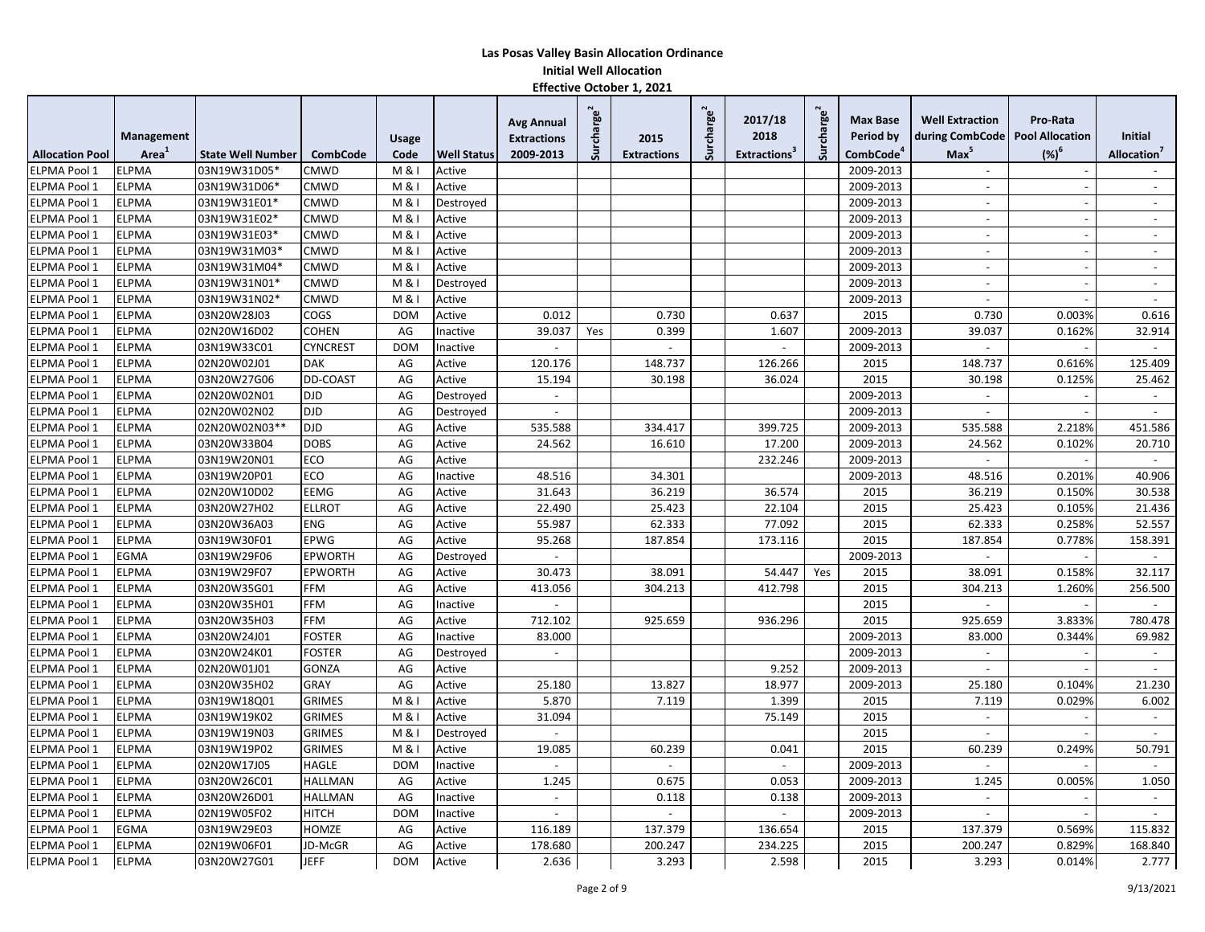|                        |              |                          |                 |                |                    | <b>Avg Annual</b>        | Surcharge <sup>2</sup> |                    | Surcharge <sup>2</sup> | 2017/18                  | charge <sup>2</sup> | <b>Max Base</b>       | <b>Well Extraction</b>   | Pro-Rata               |                          |
|------------------------|--------------|--------------------------|-----------------|----------------|--------------------|--------------------------|------------------------|--------------------|------------------------|--------------------------|---------------------|-----------------------|--------------------------|------------------------|--------------------------|
|                        | Management   |                          |                 | Usage          |                    | <b>Extractions</b>       |                        | 2015               |                        | 2018                     |                     | Period by             | during CombCode          | <b>Pool Allocation</b> | Initial                  |
| <b>Allocation Pool</b> | Area         | <b>State Well Number</b> | <b>CombCode</b> | Code           | <b>Well Status</b> | 2009-2013                |                        | <b>Extractions</b> |                        | Extractions <sup>3</sup> | Šür                 | CombCode <sup>4</sup> | $Max^5$                  | $(%)^6$                | Allocation <sup>'</sup>  |
| ELPMA Pool 1           | <b>ELPMA</b> | 03N19W31D05'             | <b>CMWD</b>     | M & I          | Active             |                          |                        |                    |                        |                          |                     | 2009-2013             |                          |                        |                          |
| ELPMA Pool 1           | <b>ELPMA</b> | 03N19W31D06*             | CMWD            | M & I          | Active             |                          |                        |                    |                        |                          |                     | 2009-2013             | $\overline{\phantom{a}}$ |                        | $\sim$                   |
| ELPMA Pool 1           | <b>ELPMA</b> | 03N19W31E01*             | CMWD            | M &            | Destroyed          |                          |                        |                    |                        |                          |                     | 2009-2013             | $\blacksquare$           |                        | $\blacksquare$           |
| ELPMA Pool 1           | <b>ELPMA</b> | 03N19W31E02*             | CMWD            | M &            | Active             |                          |                        |                    |                        |                          |                     | 2009-2013             | $\overline{\phantom{a}}$ |                        | $\overline{\phantom{a}}$ |
| ELPMA Pool 1           | <b>ELPMA</b> | 03N19W31E03*             | CMWD            | M & I          | Active             |                          |                        |                    |                        |                          |                     | 2009-2013             | $\overline{a}$           | $\overline{a}$         | $\sim$                   |
| <b>ELPMA Pool 1</b>    | <b>ELPMA</b> | 03N19W31M03*             | <b>CMWD</b>     | M & I          | Active             |                          |                        |                    |                        |                          |                     | 2009-2013             | $\sim$                   |                        | $\blacksquare$           |
| <b>ELPMA Pool 1</b>    | <b>ELPMA</b> | 03N19W31M04*             | CMWD            | M &            | Active             |                          |                        |                    |                        |                          |                     | 2009-2013             | $\overline{\phantom{a}}$ |                        | $\overline{\phantom{a}}$ |
| ELPMA Pool 1           | <b>ELPMA</b> | 03N19W31N01*             | CMWD            | <b>M&amp;I</b> | Destroyed          |                          |                        |                    |                        |                          |                     | 2009-2013             |                          |                        | $\overline{\phantom{a}}$ |
| ELPMA Pool 1           | <b>ELPMA</b> | 03N19W31N02*             | <b>CMWD</b>     | M & I          | Active             |                          |                        |                    |                        |                          |                     | 2009-2013             | $\overline{a}$           |                        | $\blacksquare$           |
| ELPMA Pool 1           | <b>ELPMA</b> | 03N20W28J03              | COGS            | <b>DOM</b>     | Active             | 0.012                    |                        | 0.730              |                        | 0.637                    |                     | 2015                  | 0.730                    | 0.003%                 | 0.616                    |
| ELPMA Pool 1           | <b>ELPMA</b> | 02N20W16D02              | <b>COHEN</b>    | AG             | Inactive           | 39.037                   | Yes                    | 0.399              |                        | 1.607                    |                     | 2009-2013             | 39.037                   | 0.162%                 | 32.914                   |
| ELPMA Pool 1           | <b>ELPMA</b> | 03N19W33C01              | <b>CYNCREST</b> | <b>DOM</b>     | Inactive           | $\overline{a}$           |                        |                    |                        | $\overline{\phantom{a}}$ |                     | 2009-2013             | $\sim$                   |                        | $\sim$                   |
| ELPMA Pool 1           | <b>ELPMA</b> | 02N20W02J01              | <b>DAK</b>      | AG             | Active             | 120.176                  |                        | 148.737            |                        | 126.266                  |                     | 2015                  | 148.737                  | 0.616%                 | 125.409                  |
| <b>ELPMA Pool 1</b>    | <b>ELPMA</b> | 03N20W27G06              | <b>DD-COAST</b> | AG             | Active             | 15.194                   |                        | 30.198             |                        | 36.024                   |                     | 2015                  | 30.198                   | 0.125%                 | 25.462                   |
| ELPMA Pool 1           | <b>ELPMA</b> | 02N20W02N01              | <b>DJD</b>      | AG             | Destroyed          | $\overline{a}$           |                        |                    |                        |                          |                     | 2009-2013             |                          |                        | $\overline{\phantom{a}}$ |
| ELPMA Pool 1           | <b>ELPMA</b> | 02N20W02N02              | <b>DJD</b>      | AG             | Destroyed          | $\blacksquare$           |                        |                    |                        |                          |                     | 2009-2013             |                          |                        | $\blacksquare$           |
| <b>ELPMA Pool 1</b>    | <b>ELPMA</b> | 02N20W02N03**            | <b>DJD</b>      | AG             | Active             | 535.588                  |                        | 334.417            |                        | 399.725                  |                     | 2009-2013             | 535.588                  | 2.218%                 | 451.586                  |
| ELPMA Pool 1           | <b>ELPMA</b> | 03N20W33B04              | <b>DOBS</b>     | AG             | Active             | 24.562                   |                        | 16.610             |                        | 17.200                   |                     | 2009-2013             | 24.562                   | 0.102%                 | 20.710                   |
| ELPMA Pool 1           | <b>ELPMA</b> | 03N19W20N01              | <b>ECO</b>      | AG             | Active             |                          |                        |                    |                        | 232.246                  |                     | 2009-2013             | $\overline{a}$           |                        | $\sim$                   |
| <b>ELPMA Pool 1</b>    | <b>ELPMA</b> | 03N19W20P01              | <b>ECO</b>      | AG             | Inactive           | 48.516                   |                        | 34.301             |                        |                          |                     | 2009-2013             | 48.516                   | 0.201%                 | 40.906                   |
| ELPMA Pool 1           | <b>ELPMA</b> | 02N20W10D02              | <b>EEMG</b>     | AG             | Active             | 31.643                   |                        | 36.219             |                        | 36.574                   |                     | 2015                  | 36.219                   | 0.150%                 | 30.538                   |
| ELPMA Pool 1           | <b>ELPMA</b> | 03N20W27H02              | <b>ELLROT</b>   | AG             | Active             | 22.490                   |                        | 25.423             |                        | 22.104                   |                     | 2015                  | 25.423                   | 0.105%                 | 21.436                   |
| ELPMA Pool 1           | <b>ELPMA</b> | 03N20W36A03              | <b>ENG</b>      | AG             | Active             | 55.987                   |                        | 62.333             |                        | 77.092                   |                     | 2015                  | 62.333                   | 0.258%                 | 52.557                   |
| <b>ELPMA Pool 1</b>    | <b>ELPMA</b> | 03N19W30F01              | <b>EPWG</b>     | AG             | Active             | 95.268                   |                        | 187.854            |                        | 173.116                  |                     | 2015                  | 187.854                  | 0.778%                 | 158.391                  |
| ELPMA Pool 1           | EGMA         | 03N19W29F06              | <b>EPWORTH</b>  | AG             | Destroyed          |                          |                        |                    |                        |                          |                     | 2009-2013             |                          |                        | $\mathbf{r}$             |
| ELPMA Pool 1           | <b>ELPMA</b> | 03N19W29F07              | <b>EPWORTH</b>  | AG             | Active             | 30.473                   |                        | 38.091             |                        | 54.447                   | Yes                 | 2015                  | 38.091                   | 0.158%                 | 32.117                   |
| <b>ELPMA Pool 1</b>    | <b>ELPMA</b> | 03N20W35G01              | <b>FFM</b>      | AG             | Active             | 413.056                  |                        | 304.213            |                        | 412.798                  |                     | 2015                  | 304.213                  | 1.260%                 | 256.500                  |
| ELPMA Pool 1           | <b>ELPMA</b> | 03N20W35H01              | <b>FFM</b>      | AG             | Inactive           |                          |                        |                    |                        |                          |                     | 2015                  |                          |                        | $\overline{\phantom{a}}$ |
| ELPMA Pool 1           | <b>ELPMA</b> | 03N20W35H03              | FFM             | AG             | Active             | 712.102                  |                        | 925.659            |                        | 936.296                  |                     | 2015                  | 925.659                  | 3.833%                 | 780.478                  |
| <b>ELPMA Pool 1</b>    | <b>ELPMA</b> | 03N20W24J01              | <b>FOSTER</b>   | AG             | Inactive           | 83.000                   |                        |                    |                        |                          |                     | 2009-2013             | 83.000                   | 0.344%                 | 69.982                   |
| ELPMA Pool 1           | <b>ELPMA</b> | 03N20W24K01              | <b>FOSTER</b>   | AG             | Destroyed          | $\overline{\phantom{a}}$ |                        |                    |                        |                          |                     | 2009-2013             | $\sim$                   |                        | $\sim$                   |
| ELPMA Pool 1           | <b>ELPMA</b> | 02N20W01J01              | <b>GONZA</b>    | AG             | Active             |                          |                        |                    |                        | 9.252                    |                     | 2009-2013             | $\sim$                   |                        | $\sim$                   |
| <b>ELPMA Pool 1</b>    | <b>ELPMA</b> | 03N20W35H02              | GRAY            | AG             | Active             | 25.180                   |                        | 13.827             |                        | 18.977                   |                     | 2009-2013             | 25.180                   | 0.104%                 | 21.230                   |
| <b>ELPMA Pool 1</b>    | <b>ELPMA</b> | 03N19W18Q01              | <b>GRIMES</b>   | M & I          | Active             | 5.870                    |                        | 7.119              |                        | 1.399                    |                     | 2015                  | 7.119                    | 0.029%                 | 6.002                    |
| ELPMA Pool 1           | <b>ELPMA</b> | 03N19W19K02              | <b>GRIMES</b>   | M &            | Active             | 31.094                   |                        |                    |                        | 75.149                   |                     | 2015                  |                          |                        | $\blacksquare$           |
| ELPMA Pool 1           | <b>ELPMA</b> | 03N19W19N03              | <b>GRIMES</b>   | M & I          | Destroyed          |                          |                        |                    |                        |                          |                     | 2015                  |                          |                        | $\sim$                   |
| <b>ELPMA Pool 1</b>    | <b>ELPMA</b> | 03N19W19P02              | <b>GRIMES</b>   | M & I          | Active             | 19.085                   |                        | 60.239             |                        | 0.041                    |                     | 2015                  | 60.239                   | 0.249%                 | 50.791                   |
| ELPMA Pool 1           | <b>ELPMA</b> | 02N20W17J05              | <b>HAGLE</b>    | <b>DOM</b>     | Inactive           | $\blacksquare$           |                        |                    |                        | $\blacksquare$           |                     | 2009-2013             | $\overline{\phantom{a}}$ |                        | $\sim$                   |
| ELPMA Pool 1           | <b>ELPMA</b> | 03N20W26C01              | <b>HALLMAN</b>  | AG             | Active             | 1.245                    |                        | 0.675              |                        | 0.053                    |                     | 2009-2013             | 1.245                    | 0.005%                 | 1.050                    |
| ELPMA Pool 1           | <b>ELPMA</b> | 03N20W26D01              | <b>HALLMAN</b>  | AG             | Inactive           | $\overline{\phantom{a}}$ |                        | 0.118              |                        | 0.138                    |                     | 2009-2013             | $\sim$                   |                        | $\sim$                   |
| <b>ELPMA Pool 1</b>    | <b>ELPMA</b> | 02N19W05F02              | <b>HITCH</b>    | <b>DOM</b>     | Inactive           | $\sim$                   |                        |                    |                        | $\sim$                   |                     | 2009-2013             |                          |                        | $\overline{\phantom{a}}$ |
| ELPMA Pool 1           | EGMA         | 03N19W29E03              | <b>HOMZE</b>    | AG             | Active             | 116.189                  |                        | 137.379            |                        | 136.654                  |                     | 2015                  | 137.379                  | 0.569%                 | 115.832                  |
| <b>ELPMA Pool 1</b>    | <b>ELPMA</b> | 02N19W06F01              | JD-McGR         | AG             | Active             | 178.680                  |                        | 200.247            |                        | 234.225                  |                     | 2015                  | 200.247                  | 0.829%                 | 168.840                  |
| ELPMA Pool 1           | <b>ELPMA</b> | 03N20W27G01              | <b>JEFF</b>     | <b>DOM</b>     | Active             | 2.636                    |                        | 3.293              |                        | 2.598                    |                     | 2015                  | 3.293                    | 0.014%                 | 2.777                    |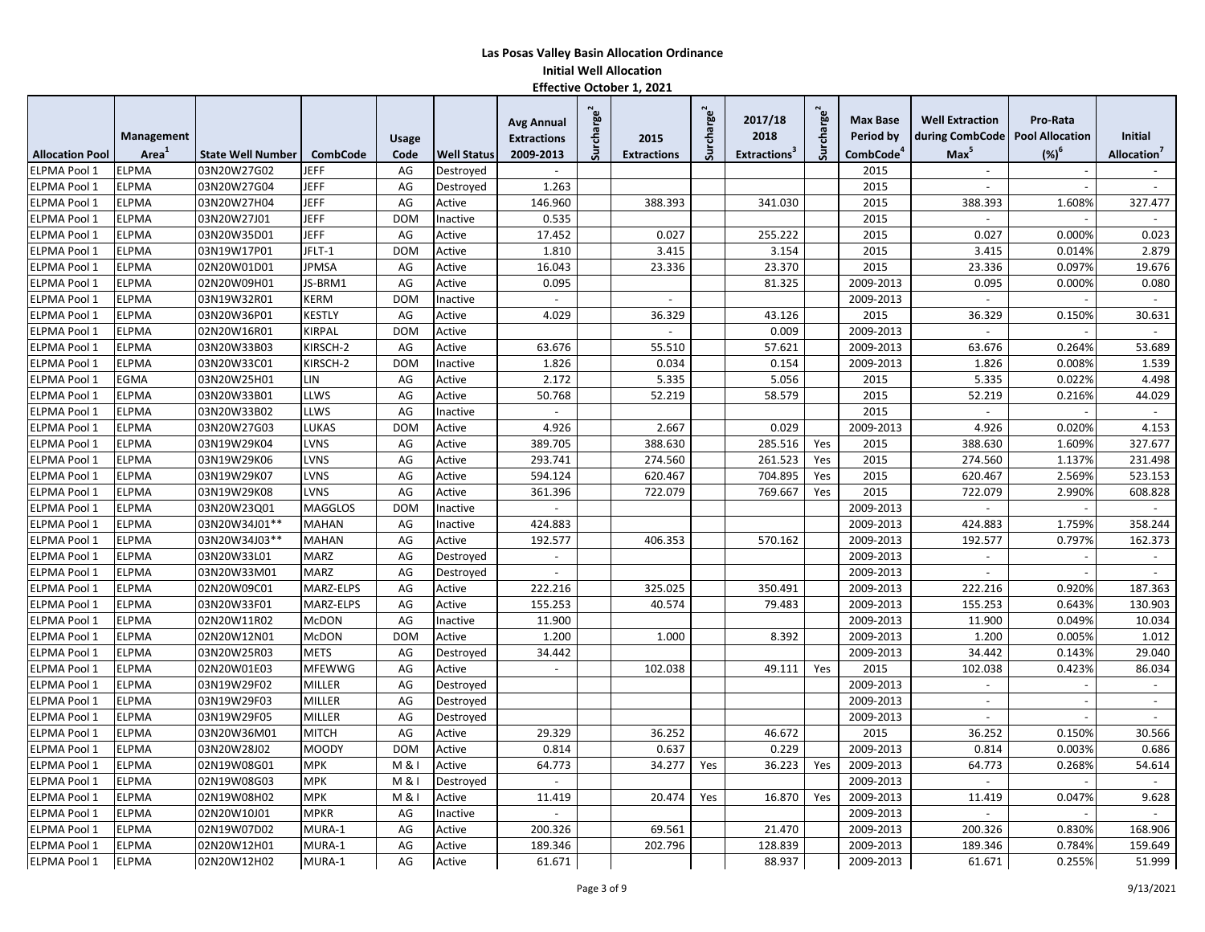|                        |                   |                          |                 |              |                    | <b>Avg Annual</b>        | Surcharge <sup>2</sup> |                    | Surcharge <sup>2</sup> | 2017/18                  | rcharge <sup>2</sup> | <b>Max Base</b>       | <b>Well Extraction</b>            | Pro-Rata |                          |
|------------------------|-------------------|--------------------------|-----------------|--------------|--------------------|--------------------------|------------------------|--------------------|------------------------|--------------------------|----------------------|-----------------------|-----------------------------------|----------|--------------------------|
|                        | Management        |                          |                 | <b>Usage</b> |                    | <b>Extractions</b>       |                        | 2015               |                        | 2018                     |                      | Period by             | during CombCode   Pool Allocation |          | <b>Initial</b>           |
| <b>Allocation Pool</b> | Area <sup>'</sup> | <b>State Well Number</b> | <b>CombCode</b> | Code         | <b>Well Status</b> | 2009-2013                |                        | <b>Extractions</b> |                        | Extractions <sup>3</sup> |                      | CombCode <sup>4</sup> | Max <sup>5</sup>                  | $(%)^6$  | Allocation <sup>®</sup>  |
| <b>ELPMA Pool 1</b>    | <b>ELPMA</b>      | 03N20W27G02              | <b>JEFF</b>     | AG           | Destroyed          | $\sim$                   |                        |                    |                        |                          |                      | 2015                  |                                   |          |                          |
| ELPMA Pool 1           | <b>ELPMA</b>      | 03N20W27G04              | <b>JEFF</b>     | AG           | Destroyed          | 1.263                    |                        |                    |                        |                          |                      | 2015                  |                                   |          |                          |
| ELPMA Pool 1           | <b>ELPMA</b>      | 03N20W27H04              | <b>JEFF</b>     | AG           | Active             | 146.960                  |                        | 388.393            |                        | 341.030                  |                      | 2015                  | 388.393                           | 1.608%   | 327.477                  |
| ELPMA Pool 1           | <b>ELPMA</b>      | 03N20W27J01              | <b>JEFF</b>     | <b>DOM</b>   | Inactive           | 0.535                    |                        |                    |                        |                          |                      | 2015                  | $\sim$                            |          | $\overline{a}$           |
| ELPMA Pool 1           | <b>ELPMA</b>      | 03N20W35D01              | <b>JEFF</b>     | AG           | Active             | 17.452                   |                        | 0.027              |                        | 255.222                  |                      | 2015                  | 0.027                             | 0.000%   | 0.023                    |
| ELPMA Pool 1           | <b>ELPMA</b>      | 03N19W17P01              | JFLT-1          | <b>DOM</b>   | Active             | 1.810                    |                        | 3.415              |                        | 3.154                    |                      | 2015                  | 3.415                             | 0.014%   | 2.879                    |
| ELPMA Pool 1           | <b>ELPMA</b>      | 02N20W01D01              | <b>JPMSA</b>    | AG           | Active             | 16.043                   |                        | 23.336             |                        | 23.370                   |                      | 2015                  | 23.336                            | 0.097%   | 19.676                   |
| ELPMA Pool 1           | <b>ELPMA</b>      | 02N20W09H01              | JS-BRM1         | AG           | Active             | 0.095                    |                        |                    |                        | 81.325                   |                      | 2009-2013             | 0.095                             | 0.000%   | 0.080                    |
| ELPMA Pool 1           | <b>ELPMA</b>      | 03N19W32R01              | <b>KERM</b>     | <b>DOM</b>   | Inactive           | $\overline{\phantom{a}}$ |                        |                    |                        |                          |                      | 2009-2013             |                                   |          | $\sim$                   |
| ELPMA Pool 1           | <b>ELPMA</b>      | 03N20W36P01              | <b>KESTLY</b>   | AG           | Active             | 4.029                    |                        | 36.329             |                        | 43.126                   |                      | 2015                  | 36.329                            | 0.150%   | 30.631                   |
| ELPMA Pool 1           | <b>ELPMA</b>      | 02N20W16R01              | <b>KIRPAL</b>   | <b>DOM</b>   | Active             |                          |                        |                    |                        | 0.009                    |                      | 2009-2013             | $\sim$                            |          | $\sim$                   |
| ELPMA Pool 1           | <b>ELPMA</b>      | 03N20W33B03              | KIRSCH-2        | AG           | Active             | 63.676                   |                        | 55.510             |                        | 57.621                   |                      | 2009-2013             | 63.676                            | 0.264%   | 53.689                   |
| ELPMA Pool 1           | <b>ELPMA</b>      | 03N20W33C01              | KIRSCH-2        | <b>DOM</b>   | Inactive           | 1.826                    |                        | 0.034              |                        | 0.154                    |                      | 2009-2013             | 1.826                             | 0.008%   | 1.539                    |
| ELPMA Pool 1           | EGMA              | 03N20W25H01              | LIN             | AG           | Active             | 2.172                    |                        | 5.335              |                        | 5.056                    |                      | 2015                  | 5.335                             | 0.022%   | 4.498                    |
| ELPMA Pool 1           | <b>ELPMA</b>      | 03N20W33B01              | LLWS            | AG           | Active             | 50.768                   |                        | 52.219             |                        | 58.579                   |                      | 2015                  | 52.219                            | 0.216%   | 44.029                   |
| ELPMA Pool 1           | <b>ELPMA</b>      | 03N20W33B02              | LLWS            | AG           | Inactive           |                          |                        |                    |                        |                          |                      | 2015                  | $\sim$                            |          | $\omega$                 |
| ELPMA Pool 1           | <b>ELPMA</b>      | 03N20W27G03              | LUKAS           | <b>DOM</b>   | Active             | 4.926                    |                        | 2.667              |                        | 0.029                    |                      | 2009-2013             | 4.926                             | 0.020%   | 4.153                    |
| ELPMA Pool 1           | <b>ELPMA</b>      | 03N19W29K04              | LVNS            | AG           | Active             | 389.705                  |                        | 388.630            |                        | 285.516                  | Yes                  | 2015                  | 388.630                           | 1.609%   | 327.677                  |
| ELPMA Pool 1           | <b>ELPMA</b>      | 03N19W29K06              | <b>LVNS</b>     | AG           | Active             | 293.741                  |                        | 274.560            |                        | 261.523                  | Yes                  | 2015                  | 274.560                           | 1.137%   | 231.498                  |
| ELPMA Pool 1           | <b>ELPMA</b>      | 03N19W29K07              | LVNS            | AG           | Active             | 594.124                  |                        | 620.467            |                        | 704.895                  | Yes                  | 2015                  | 620.467                           | 2.569%   | 523.153                  |
| ELPMA Pool 1           | <b>ELPMA</b>      | 03N19W29K08              | LVNS            | AG           | Active             | 361.396                  |                        | 722.079            |                        | 769.667                  | Yes                  | 2015                  | 722.079                           | 2.990%   | 608.828                  |
| ELPMA Pool 1           | <b>ELPMA</b>      | 03N20W23Q01              | <b>MAGGLOS</b>  | <b>DOM</b>   | Inactive           | $\overline{a}$           |                        |                    |                        |                          |                      | 2009-2013             | $\sim$                            |          | $\sim$                   |
| ELPMA Pool 1           | <b>ELPMA</b>      | 03N20W34J01**            | <b>MAHAN</b>    | AG           | Inactive           | 424.883                  |                        |                    |                        |                          |                      | 2009-2013             | 424.883                           | 1.759%   | 358.244                  |
| ELPMA Pool 1           | <b>ELPMA</b>      | 03N20W34J03**            | <b>MAHAN</b>    | AG           | Active             | 192.577                  |                        | 406.353            |                        | 570.162                  |                      | 2009-2013             | 192.577                           | 0.797%   | 162.373                  |
| ELPMA Pool 1           | <b>ELPMA</b>      | 03N20W33L01              | <b>MARZ</b>     | AG           | Destroyed          | $\overline{\phantom{a}}$ |                        |                    |                        |                          |                      | 2009-2013             | $\sim$                            |          | $\blacksquare$           |
| ELPMA Pool 1           | <b>ELPMA</b>      | 03N20W33M01              | <b>MARZ</b>     | AG           | Destroyed          |                          |                        |                    |                        |                          |                      | 2009-2013             |                                   |          |                          |
| ELPMA Pool 1           | <b>ELPMA</b>      | 02N20W09C01              | MARZ-ELPS       | AG           | Active             | 222.216                  |                        | 325.025            |                        | 350.491                  |                      | 2009-2013             | 222.216                           | 0.920%   | 187.363                  |
| ELPMA Pool 1           | <b>ELPMA</b>      | 03N20W33F01              | MARZ-ELPS       | AG           | Active             | 155.253                  |                        | 40.574             |                        | 79.483                   |                      | 2009-2013             | 155.253                           | 0.643%   | 130.903                  |
| ELPMA Pool 1           | <b>ELPMA</b>      | 02N20W11R02              | <b>McDON</b>    | AG           | Inactive           | 11.900                   |                        |                    |                        |                          |                      | 2009-2013             | 11.900                            | 0.049%   | 10.034                   |
| ELPMA Pool 1           | <b>ELPMA</b>      | 02N20W12N01              | <b>McDON</b>    | <b>DOM</b>   | Active             | 1.200                    |                        | 1.000              |                        | 8.392                    |                      | 2009-2013             | 1.200                             | 0.005%   | 1.012                    |
| ELPMA Pool 1           | <b>ELPMA</b>      | 03N20W25R03              | <b>METS</b>     | AG           | Destroyed          | 34.442                   |                        |                    |                        |                          |                      | 2009-2013             | 34.442                            | 0.143%   | 29.040                   |
| ELPMA Pool 1           | <b>ELPMA</b>      | 02N20W01E03              | <b>MFEWWG</b>   | AG           | Active             | $\sim$                   |                        | 102.038            |                        | 49.111                   | Yes                  | 2015                  | 102.038                           | 0.423%   | 86.034                   |
| <b>ELPMA Pool 1</b>    | <b>ELPMA</b>      | 03N19W29F02              | <b>MILLER</b>   | AG           | Destroyed          |                          |                        |                    |                        |                          |                      | 2009-2013             |                                   |          | $\sim$                   |
| ELPMA Pool 1           | <b>ELPMA</b>      | 03N19W29F03              | <b>MILLER</b>   | AG           | Destroyed          |                          |                        |                    |                        |                          |                      | 2009-2013             | $\overline{\phantom{a}}$          |          | $\sim$                   |
| ELPMA Pool 1           | <b>ELPMA</b>      | 03N19W29F05              | <b>MILLER</b>   | AG           | Destroyed          |                          |                        |                    |                        |                          |                      | 2009-2013             |                                   |          |                          |
| ELPMA Pool 1           | <b>ELPMA</b>      | 03N20W36M01              | <b>MITCH</b>    | AG           | Active             | 29.329                   |                        | 36.252             |                        | 46.672                   |                      | 2015                  | 36.252                            | 0.150%   | 30.566                   |
| ELPMA Pool 1           | <b>ELPMA</b>      | 03N20W28J02              | <b>MOODY</b>    | <b>DOM</b>   | Active             | 0.814                    |                        | 0.637              |                        | 0.229                    |                      | 2009-2013             | 0.814                             | 0.003%   | 0.686                    |
| ELPMA Pool 1           | ELPMA             | 02N19W08G01              | <b>MPK</b>      | M & I        | Active             | 64.773                   |                        | 34.277             | Yes                    | 36.223                   | Yes                  | 2009-2013             | 64.773                            | 0.268%   | 54.614                   |
| ELPMA Pool 1           | <b>ELPMA</b>      | 02N19W08G03              | <b>MPK</b>      | M & I        | Destroyed          | $\overline{\phantom{a}}$ |                        |                    |                        |                          |                      | 2009-2013             |                                   |          | $\overline{\phantom{a}}$ |
| ELPMA Pool 1           | <b>ELPMA</b>      | 02N19W08H02              | <b>MPK</b>      | M & I        | Active             | 11.419                   |                        | 20.474             | Yes                    | 16.870                   | Yes                  | 2009-2013             | 11.419                            | 0.047%   | 9.628                    |
| ELPMA Pool 1           | <b>ELPMA</b>      | 02N20W10J01              | <b>MPKR</b>     | AG           | Inactive           | $\sim$                   |                        |                    |                        |                          |                      | 2009-2013             | $\sim$                            |          | $\sim$                   |
| ELPMA Pool 1           | <b>ELPMA</b>      | 02N19W07D02              | MURA-1          | AG           | Active             | 200.326                  |                        | 69.561             |                        | 21.470                   |                      | 2009-2013             | 200.326                           | 0.830%   | 168.906                  |
| ELPMA Pool 1           | <b>ELPMA</b>      | 02N20W12H01              | MURA-1          | AG           | Active             | 189.346                  |                        | 202.796            |                        | 128.839                  |                      | 2009-2013             | 189.346                           | 0.784%   | 159.649                  |
| ELPMA Pool 1           | <b>ELPMA</b>      | 02N20W12H02              | MURA-1          | AG           | Active             | 61.671                   |                        |                    |                        | 88.937                   |                      | 2009-2013             | 61.671                            | 0.255%   | 51.999                   |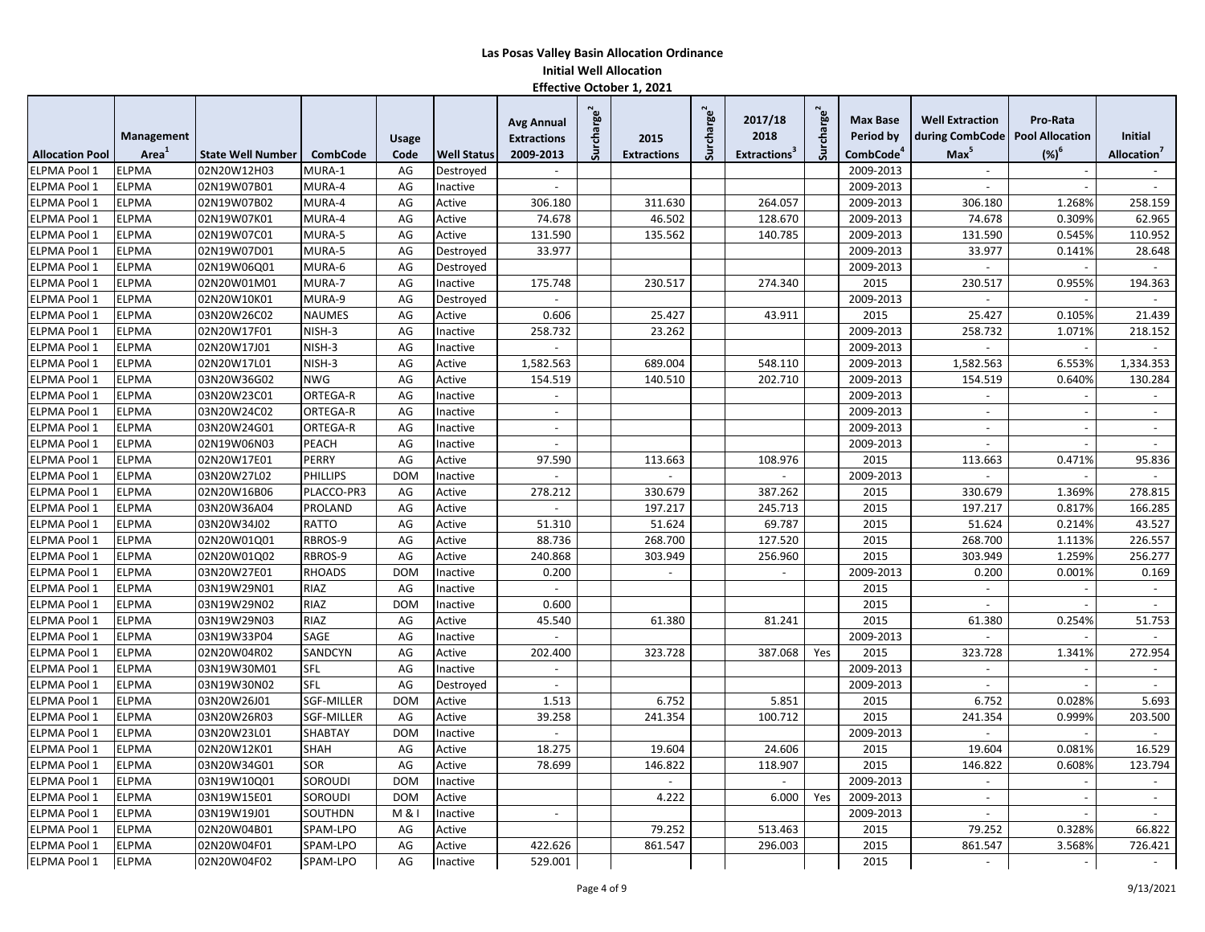|                        |                   |                          |                 |            |                    | <b>Avg Annual</b>        | <b>Surcharge</b> |                          | Surcharge <sup>2</sup> | 2017/18                  | Surcharge <sup>2</sup> | <b>Max Base</b>       | <b>Well Extraction</b>            | Pro-Rata                 |                          |
|------------------------|-------------------|--------------------------|-----------------|------------|--------------------|--------------------------|------------------|--------------------------|------------------------|--------------------------|------------------------|-----------------------|-----------------------------------|--------------------------|--------------------------|
|                        | Management        |                          |                 | Usage      |                    | <b>Extractions</b>       |                  | 2015                     |                        | 2018                     |                        | Period by             | during CombCode   Pool Allocation |                          | Initial                  |
| <b>Allocation Pool</b> | Area <sup>'</sup> | <b>State Well Number</b> | <b>CombCode</b> | Code       | <b>Well Status</b> | 2009-2013                |                  | <b>Extractions</b>       |                        | <b>Extractions</b>       |                        | CombCode <sup>4</sup> | Max <sup>5</sup>                  | $(%)^6$                  | Allocation <sup>'</sup>  |
| ELPMA Pool 1           | <b>ELPMA</b>      | 02N20W12H03              | MURA-1          | AG         | Destroyed          |                          |                  |                          |                        |                          |                        | 2009-2013             |                                   |                          |                          |
| <b>ELPMA Pool 1</b>    | <b>ELPMA</b>      | 02N19W07B01              | MURA-4          | AG         | Inactive           | $\sim$                   |                  |                          |                        |                          |                        | 2009-2013             | $\sim$                            |                          | $\sim$                   |
| ELPMA Pool 1           | <b>ELPMA</b>      | 02N19W07B02              | MURA-4          | AG         | Active             | 306.180                  |                  | 311.630                  |                        | 264.057                  |                        | 2009-2013             | 306.180                           | 1.268%                   | 258.159                  |
| <b>ELPMA Pool 1</b>    | <b>ELPMA</b>      | 02N19W07K01              | MURA-4          | AG         | Active             | 74.678                   |                  | 46.502                   |                        | 128.670                  |                        | 2009-2013             | 74.678                            | 0.309%                   | 62.965                   |
| ELPMA Pool 1           | <b>ELPMA</b>      | 02N19W07C01              | MURA-5          | AG         | Active             | 131.590                  |                  | 135.562                  |                        | 140.785                  |                        | 2009-2013             | 131.590                           | 0.545%                   | 110.952                  |
| <b>ELPMA Pool 1</b>    | <b>ELPMA</b>      | 02N19W07D01              | MURA-5          | AG         | Destroyed          | 33.977                   |                  |                          |                        |                          |                        | 2009-2013             | 33.977                            | 0.141%                   | 28.648                   |
| <b>ELPMA Pool 1</b>    | <b>ELPMA</b>      | 02N19W06Q01              | MURA-6          | AG         | Destroyed          |                          |                  |                          |                        |                          |                        | 2009-2013             |                                   |                          | $\mathbf{r}$             |
| ELPMA Pool 1           | <b>ELPMA</b>      | 02N20W01M01              | MURA-7          | AG         | Inactive           | 175.748                  |                  | 230.517                  |                        | 274.340                  |                        | 2015                  | 230.517                           | 0.955%                   | 194.363                  |
| ELPMA Pool 1           | <b>ELPMA</b>      | 02N20W10K01              | MURA-9          | AG         | Destroyed          |                          |                  |                          |                        |                          |                        | 2009-2013             |                                   |                          |                          |
| ELPMA Pool 1           | <b>ELPMA</b>      | 03N20W26C02              | <b>NAUMES</b>   | AG         | Active             | 0.606                    |                  | 25.427                   |                        | 43.911                   |                        | 2015                  | 25.427                            | 0.105%                   | 21.439                   |
| ELPMA Pool 1           | <b>ELPMA</b>      | 02N20W17F01              | NISH-3          | AG         | Inactive           | 258.732                  |                  | 23.262                   |                        |                          |                        | 2009-2013             | 258.732                           | 1.071%                   | 218.152                  |
| ELPMA Pool 1           | <b>ELPMA</b>      | 02N20W17J01              | NISH-3          | AG         | Inactive           | $\overline{a}$           |                  |                          |                        |                          |                        | 2009-2013             | $\overline{a}$                    |                          |                          |
| ELPMA Pool 1           | <b>ELPMA</b>      | 02N20W17L01              | NISH-3          | AG         | Active             | 1,582.563                |                  | 689.004                  |                        | 548.110                  |                        | 2009-2013             | 1,582.563                         | 6.553%                   | 1,334.353                |
| ELPMA Pool 1           | <b>ELPMA</b>      | 03N20W36G02              | <b>NWG</b>      | AG         | Active             | 154.519                  |                  | 140.510                  |                        | 202.710                  |                        | 2009-2013             | 154.519                           | 0.640%                   | 130.284                  |
| ELPMA Pool 1           | <b>ELPMA</b>      | 03N20W23C01              | ORTEGA-R        | AG         | Inactive           |                          |                  |                          |                        |                          |                        | 2009-2013             |                                   |                          |                          |
| ELPMA Pool 1           | <b>ELPMA</b>      | 03N20W24C02              | ORTEGA-R        | AG         | Inactive           | $\sim$                   |                  |                          |                        |                          |                        | 2009-2013             | $\sim$                            |                          |                          |
| ELPMA Pool 1           | <b>ELPMA</b>      | 03N20W24G01              | ORTEGA-R        | AG         | Inactive           | $\overline{\phantom{a}}$ |                  |                          |                        |                          |                        | 2009-2013             | $\overline{\phantom{a}}$          |                          | $\overline{\phantom{a}}$ |
| ELPMA Pool 1           | <b>ELPMA</b>      | 02N19W06N03              | PEACH           | AG         | Inactive           | $\overline{\phantom{a}}$ |                  |                          |                        |                          |                        | 2009-2013             | $\overline{\phantom{a}}$          |                          | $\overline{\phantom{a}}$ |
| ELPMA Pool 1           | <b>ELPMA</b>      | 02N20W17E01              | PERRY           | AG         | Active             | 97.590                   |                  | 113.663                  |                        | 108.976                  |                        | 2015                  | 113.663                           | 0.471%                   | 95.836                   |
| ELPMA Pool 1           | <b>ELPMA</b>      | 03N20W27L02              | <b>PHILLIPS</b> | <b>DOM</b> | Inactive           |                          |                  |                          |                        |                          |                        | 2009-2013             | $\overline{a}$                    |                          | $\sim$                   |
| ELPMA Pool 1           | <b>ELPMA</b>      | 02N20W16B06              | PLACCO-PR3      | AG         | Active             | 278.212                  |                  | 330.679                  |                        | 387.262                  |                        | 2015                  | 330.679                           | 1.369%                   | 278.815                  |
| <b>ELPMA Pool 1</b>    | <b>ELPMA</b>      | 03N20W36A04              | PROLAND         | AG         | Active             | $\overline{\phantom{a}}$ |                  | 197.217                  |                        | 245.713                  |                        | 2015                  | 197.217                           | 0.817%                   | 166.285                  |
| ELPMA Pool 1           | <b>ELPMA</b>      | 03N20W34J02              | <b>RATTO</b>    | AG         | Active             | 51.310                   |                  | 51.624                   |                        | 69.787                   |                        | 2015                  | 51.624                            | 0.214%                   | 43.527                   |
| ELPMA Pool 1           | <b>ELPMA</b>      | 02N20W01Q01              | RBROS-9         | AG         | Active             | 88.736                   |                  | 268.700                  |                        | 127.520                  |                        | 2015                  | 268.700                           | 1.113%                   | 226.557                  |
| <b>ELPMA Pool 1</b>    | <b>ELPMA</b>      | 02N20W01Q02              | RBROS-9         | AG         | Active             | 240.868                  |                  | 303.949                  |                        | 256.960                  |                        | 2015                  | 303.949                           | 1.259%                   | 256.277                  |
| ELPMA Pool 1           | <b>ELPMA</b>      | 03N20W27E01              | <b>RHOADS</b>   | <b>DOM</b> | Inactive           | 0.200                    |                  | $\overline{\phantom{a}}$ |                        | $\overline{\phantom{a}}$ |                        | 2009-2013             | 0.200                             | 0.001%                   | 0.169                    |
| ELPMA Pool 1           | <b>ELPMA</b>      | 03N19W29N01              | RIAZ            | AG         | Inactive           | $\sim$                   |                  |                          |                        |                          |                        | 2015                  | $\sim$                            |                          | $\sim$                   |
| ELPMA Pool 1           | <b>ELPMA</b>      | 03N19W29N02              | RIAZ            | <b>DOM</b> | Inactive           | 0.600                    |                  |                          |                        |                          |                        | 2015                  | $\blacksquare$                    |                          | $\blacksquare$           |
| <b>ELPMA Pool 1</b>    | <b>ELPMA</b>      | 03N19W29N03              | RIAZ            | AG         | Active             | 45.540                   |                  | 61.380                   |                        | 81.241                   |                        | 2015                  | 61.380                            | 0.254%                   | 51.753                   |
| ELPMA Pool 1           | <b>ELPMA</b>      | 03N19W33P04              | SAGE            | AG         | Inactive           |                          |                  |                          |                        |                          |                        | 2009-2013             |                                   |                          | $\overline{a}$           |
| ELPMA Pool 1           | <b>ELPMA</b>      | 02N20W04R02              | SANDCYN         | AG         | Active             | 202.400                  |                  | 323.728                  |                        | 387.068                  | Yes                    | 2015                  | 323.728                           | 1.341%                   | 272.954                  |
| ELPMA Pool 1           | <b>ELPMA</b>      | 03N19W30M01              | SFL             | AG         | Inactive           | $\mathcal{L}$            |                  |                          |                        |                          |                        | 2009-2013             | $\sim$                            |                          | $\mathbf{r}$             |
| ELPMA Pool 1           | <b>ELPMA</b>      | 03N19W30N02              | SFL             | AG         | Destroyed          |                          |                  |                          |                        |                          |                        | 2009-2013             |                                   |                          |                          |
| ELPMA Pool 1           | <b>ELPMA</b>      | 03N20W26J01              | SGF-MILLER      | <b>DOM</b> | Active             | 1.513                    |                  | 6.752                    |                        | 5.851                    |                        | 2015                  | 6.752                             | 0.028%                   | 5.693                    |
| ELPMA Pool 1           | <b>ELPMA</b>      | 03N20W26R03              | SGF-MILLER      | AG         | Active             | 39.258                   |                  | 241.354                  |                        | 100.712                  |                        | 2015                  | 241.354                           | 0.999%                   | 203.500                  |
| ELPMA Pool 1           | <b>ELPMA</b>      | 03N20W23L01              | SHABTAY         | <b>DOM</b> | Inactive           |                          |                  |                          |                        |                          |                        | 2009-2013             | $\overline{\phantom{a}}$          |                          | $\overline{\phantom{a}}$ |
| ELPMA Pool 1           | <b>ELPMA</b>      | 02N20W12K01              | SHAH            | AG         | Active             | 18.275                   |                  | 19.604                   |                        | 24.606                   |                        | 2015                  | 19.604                            | 0.081%                   | 16.529                   |
| <b>ELPMA Pool 1</b>    | <b>ELPMA</b>      | 03N20W34G01              | SOR             | AG         | Active             | 78.699                   |                  | 146.822                  |                        | 118.907                  |                        | 2015                  | 146.822                           | 0.608%                   | 123.794                  |
| ELPMA Pool 1           | <b>ELPMA</b>      | 03N19W10Q01              | SOROUDI         | <b>DOM</b> | Inactive           |                          |                  |                          |                        |                          |                        | 2009-2013             | $\sim$                            |                          | $\overline{\phantom{a}}$ |
| <b>ELPMA Pool 1</b>    | <b>ELPMA</b>      | 03N19W15E01              | <b>SOROUDI</b>  | <b>DOM</b> | Active             |                          |                  | 4.222                    |                        | 6.000                    | Yes                    | 2009-2013             | $\sim$                            |                          | $\sim$                   |
| ELPMA Pool 1           | <b>ELPMA</b>      | 03N19W19J01              | SOUTHDN         | M & I      | Inactive           | $\sim$                   |                  |                          |                        |                          |                        | 2009-2013             | $\overline{a}$                    |                          | $\sim$                   |
| ELPMA Pool 1           | <b>ELPMA</b>      | 02N20W04B01              | SPAM-LPO        | AG         | Active             |                          |                  | 79.252                   |                        | 513.463                  |                        | 2015                  | 79.252                            | 0.328%                   | 66.822                   |
| <b>ELPMA Pool 1</b>    | <b>ELPMA</b>      | 02N20W04F01              | SPAM-LPO        | AG         | Active             | 422.626                  |                  | 861.547                  |                        | 296.003                  |                        | 2015                  | 861.547                           | 3.568%                   | 726.421                  |
| ELPMA Pool 1           | <b>ELPMA</b>      | 02N20W04F02              | SPAM-LPO        | AG         | Inactive           | 529.001                  |                  |                          |                        |                          |                        | 2015                  | $\overline{\phantom{a}}$          | $\overline{\phantom{a}}$ |                          |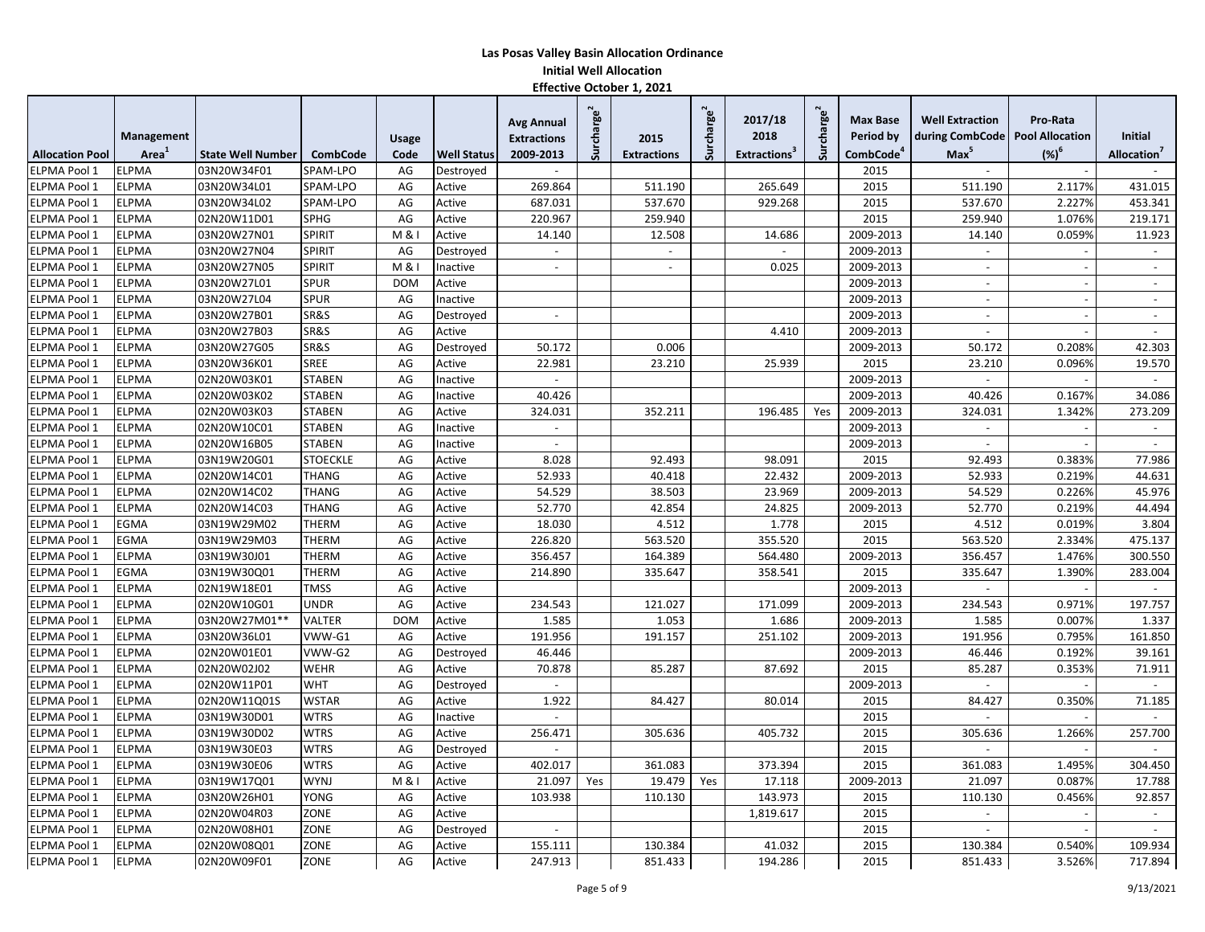|                        |              |                          |                 |              |                    | <b>Avg Annual</b>        | Surcharge <sup>®</sup> |                    | Surcharge <sup>2</sup> | 2017/18                         | Surcharge <sup>2</sup> | <b>Max Base</b>       | <b>Well Extraction</b>            | Pro-Rata                 |                          |
|------------------------|--------------|--------------------------|-----------------|--------------|--------------------|--------------------------|------------------------|--------------------|------------------------|---------------------------------|------------------------|-----------------------|-----------------------------------|--------------------------|--------------------------|
|                        | Management   |                          |                 | <b>Usage</b> |                    | <b>Extractions</b>       |                        | 2015               |                        | 2018                            |                        | Period by             | during CombCode   Pool Allocation |                          | Initial                  |
| <b>Allocation Pool</b> | Area         | <b>State Well Number</b> | <b>CombCode</b> | Code         | <b>Well Status</b> | 2009-2013                |                        | <b>Extractions</b> |                        | <b>Extractions</b> <sup>3</sup> |                        | CombCode <sup>4</sup> | Max <sup>5</sup>                  | $(%)^6$                  | Allocation'              |
| <b>ELPMA Pool 1</b>    | <b>ELPMA</b> | 03N20W34F01              | SPAM-LPO        | AG           | Destroyed          | $\sim$                   |                        |                    |                        |                                 |                        | 2015                  | $\overline{\phantom{a}}$          |                          | $\overline{\phantom{a}}$ |
| ELPMA Pool 1           | <b>ELPMA</b> | 03N20W34L01              | SPAM-LPO        | AG           | Active             | 269.864                  |                        | 511.190            |                        | 265.649                         |                        | 2015                  | 511.190                           | 2.117%                   | 431.015                  |
| <b>ELPMA Pool 1</b>    | <b>ELPMA</b> | 03N20W34L02              | SPAM-LPO        | AG           | Active             | 687.031                  |                        | 537.670            |                        | 929.268                         |                        | 2015                  | 537.670                           | 2.227%                   | 453.341                  |
| <b>ELPMA Pool 1</b>    | <b>ELPMA</b> | 02N20W11D01              | <b>SPHG</b>     | AG           | Active             | 220.967                  |                        | 259.940            |                        |                                 |                        | 2015                  | 259.940                           | 1.076%                   | 219.171                  |
| ELPMA Pool 1           | <b>ELPMA</b> | 03N20W27N01              | SPIRIT          | M & I        | Active             | 14.140                   |                        | 12.508             |                        | 14.686                          |                        | 2009-2013             | 14.140                            | 0.059%                   | 11.923                   |
| <b>ELPMA Pool 1</b>    | <b>ELPMA</b> | 03N20W27N04              | <b>SPIRIT</b>   | AG           | Destroyed          |                          |                        |                    |                        |                                 |                        | 2009-2013             |                                   |                          |                          |
| ELPMA Pool 1           | <b>ELPMA</b> | 03N20W27N05              | SPIRIT          | M & I        | Inactive           | $\blacksquare$           |                        | $\sim$             |                        | 0.025                           |                        | 2009-2013             | $\sim$                            | $\sim$                   | $\overline{\phantom{a}}$ |
| ELPMA Pool 1           | <b>ELPMA</b> | 03N20W27L01              | <b>SPUR</b>     | <b>DOM</b>   | Active             |                          |                        |                    |                        |                                 |                        | 2009-2013             |                                   |                          |                          |
| ELPMA Pool 1           | <b>ELPMA</b> | 03N20W27L04              | <b>SPUR</b>     | AG           | Inactive           |                          |                        |                    |                        |                                 |                        | 2009-2013             | $\overline{\phantom{a}}$          | $\overline{\phantom{a}}$ | $\sim$                   |
| ELPMA Pool 1           | <b>ELPMA</b> | 03N20W27B01              | SR&S            | AG           | Destroyed          | $\sim$                   |                        |                    |                        |                                 |                        | 2009-2013             | $\overline{\phantom{a}}$          |                          | $\overline{\phantom{a}}$ |
| ELPMA Pool 1           | <b>ELPMA</b> | 03N20W27B03              | SR&S            | AG           | Active             |                          |                        |                    |                        | 4.410                           |                        | 2009-2013             | $\sim$                            |                          | $\blacksquare$           |
| ELPMA Pool 1           | <b>ELPMA</b> | 03N20W27G05              | SR&S            | AG           | Destroved          | 50.172                   |                        | 0.006              |                        |                                 |                        | 2009-2013             | 50.172                            | 0.208%                   | 42.303                   |
| ELPMA Pool 1           | <b>ELPMA</b> | 03N20W36K01              | SREE            | AG           | Active             | 22.981                   |                        | 23.210             |                        | 25.939                          |                        | 2015                  | 23.210                            | 0.096%                   | 19.570                   |
| ELPMA Pool 1           | <b>ELPMA</b> | 02N20W03K01              | <b>STABEN</b>   | AG           | Inactive           |                          |                        |                    |                        |                                 |                        | 2009-2013             |                                   |                          | $\overline{a}$           |
| ELPMA Pool 1           | <b>ELPMA</b> | 02N20W03K02              | <b>STABEN</b>   | AG           | Inactive           | 40.426                   |                        |                    |                        |                                 |                        | 2009-2013             | 40.426                            | 0.167%                   | 34.086                   |
| <b>ELPMA Pool 1</b>    | <b>ELPMA</b> | 02N20W03K03              | <b>STABEN</b>   | AG           | Active             | 324.031                  |                        | 352.211            |                        | 196.485                         | Yes                    | 2009-2013             | 324.031                           | 1.342%                   | 273.209                  |
| ELPMA Pool 1           | <b>ELPMA</b> | 02N20W10C01              | <b>STABEN</b>   | AG           | Inactive           | $\sim$                   |                        |                    |                        |                                 |                        | 2009-2013             | $\sim$                            |                          | $\sim$                   |
| ELPMA Pool 1           | <b>ELPMA</b> | 02N20W16B05              | <b>STABEN</b>   | AG           | Inactive           | $\overline{a}$           |                        |                    |                        |                                 |                        | 2009-2013             | $\sim$                            |                          | $\sim$                   |
| ELPMA Pool 1           | <b>ELPMA</b> | 03N19W20G01              | <b>STOECKLE</b> | AG           | Active             | 8.028                    |                        | 92.493             |                        | 98.091                          |                        | 2015                  | 92.493                            | 0.383%                   | 77.986                   |
| ELPMA Pool 1           | <b>ELPMA</b> | 02N20W14C01              | THANG           | AG           | Active             | 52.933                   |                        | 40.418             |                        | 22.432                          |                        | 2009-2013             | 52.933                            | 0.219%                   | 44.631                   |
| ELPMA Pool 1           | <b>ELPMA</b> | 02N20W14C02              | THANG           | AG           | Active             | 54.529                   |                        | 38.503             |                        | 23.969                          |                        | 2009-2013             | 54.529                            | 0.226%                   | 45.976                   |
| <b>ELPMA Pool 1</b>    | <b>ELPMA</b> | 02N20W14C03              | THANG           | AG           | Active             | 52.770                   |                        | 42.854             |                        | 24.825                          |                        | 2009-2013             | 52.770                            | 0.219%                   | 44.494                   |
| ELPMA Pool 1           | EGMA         | 03N19W29M02              | THERM           | AG           | Active             | 18.030                   |                        | 4.512              |                        | 1.778                           |                        | 2015                  | 4.512                             | 0.019%                   | 3.804                    |
| <b>ELPMA Pool 1</b>    | <b>EGMA</b>  | 03N19W29M03              | <b>THERM</b>    | AG           | Active             | 226.820                  |                        | 563.520            |                        | 355.520                         |                        | 2015                  | 563.520                           | 2.334%                   | 475.137                  |
| ELPMA Pool 1           | <b>ELPMA</b> | 03N19W30J01              | <b>THERM</b>    | AG           | Active             | 356.457                  |                        | 164.389            |                        | 564.480                         |                        | 2009-2013             | 356.457                           | 1.476%                   | 300.550                  |
| <b>ELPMA Pool 1</b>    | <b>EGMA</b>  | 03N19W30Q01              | THERM           | AG           | Active             | 214.890                  |                        | 335.647            |                        | 358.541                         |                        | 2015                  | 335.647                           | 1.390%                   | 283.004                  |
| <b>ELPMA Pool 1</b>    | <b>ELPMA</b> | 02N19W18E01              | <b>TMSS</b>     | AG           | Active             |                          |                        |                    |                        |                                 |                        | 2009-2013             | $\sim$                            |                          |                          |
| ELPMA Pool 1           | <b>ELPMA</b> | 02N20W10G01              | UNDR            | AG           | Active             | 234.543                  |                        | 121.027            |                        | 171.099                         |                        | 2009-2013             | 234.543                           | 0.971%                   | 197.757                  |
| ELPMA Pool 1           | <b>ELPMA</b> | 03N20W27M01**            | VALTER          | <b>DOM</b>   | Active             | 1.585                    |                        | 1.053              |                        | 1.686                           |                        | 2009-2013             | 1.585                             | 0.007%                   | 1.337                    |
| ELPMA Pool 1           | <b>ELPMA</b> | 03N20W36L01              | VWW-G1          | AG           | Active             | 191.956                  |                        | 191.157            |                        | 251.102                         |                        | 2009-2013             | 191.956                           | 0.795%                   | 161.850                  |
| <b>ELPMA Pool 1</b>    | <b>ELPMA</b> | 02N20W01E01              | VWW-G2          | AG           | Destroved          | 46.446                   |                        |                    |                        |                                 |                        | 2009-2013             | 46.446                            | 0.192%                   | 39.161                   |
| ELPMA Pool 1           | <b>ELPMA</b> | 02N20W02J02              | <b>WEHR</b>     | AG           | Active             | 70.878                   |                        | 85.287             |                        | 87.692                          |                        | 2015                  | 85.287                            | 0.353%                   | 71.911                   |
| ELPMA Pool 1           | <b>ELPMA</b> | 02N20W11P01              | <b>WHT</b>      | AG           | Destroyed          | $\overline{\phantom{a}}$ |                        |                    |                        |                                 |                        | 2009-2013             | $\sim$                            |                          | $\sim$                   |
| ELPMA Pool 1           | <b>ELPMA</b> | 02N20W11Q01S             | <b>WSTAR</b>    | AG           | Active             | 1.922                    |                        | 84.427             |                        | 80.014                          |                        | 2015                  | 84.427                            | 0.350%                   | 71.185                   |
| <b>ELPMA Pool 1</b>    | <b>ELPMA</b> | 03N19W30D01              | <b>WTRS</b>     | AG           | Inactive           | $\overline{a}$           |                        |                    |                        |                                 |                        | 2015                  | $\overline{a}$                    |                          |                          |
| <b>ELPMA Pool 1</b>    | <b>ELPMA</b> | 03N19W30D02              | <b>WTRS</b>     | AG           | Active             | 256.471                  |                        | 305.636            |                        | 405.732                         |                        | 2015                  | 305.636                           | 1.266%                   | 257.700                  |
| <b>ELPMA Pool 1</b>    | <b>ELPMA</b> | 03N19W30E03              | <b>WTRS</b>     | AG           | Destroyed          |                          |                        |                    |                        |                                 |                        | 2015                  |                                   |                          |                          |
| ELPMA Pool 1           | <b>ELPMA</b> | 03N19W30E06              | <b>WTRS</b>     | AG           | Active             | 402.017                  |                        | 361.083            |                        | 373.394                         |                        | 2015                  | 361.083                           | 1.495%                   | 304.450                  |
| ELPMA Pool 1           | <b>ELPMA</b> | 03N19W17Q01              | WYNJ            | M & I        | Active             | 21.097                   | Yes                    | 19.479             | Yes                    | 17.118                          |                        | 2009-2013             | 21.097                            | 0.087%                   | 17.788                   |
| ELPMA Pool 1           | <b>ELPMA</b> | 03N20W26H01              | YONG            | AG           | Active             | 103.938                  |                        | 110.130            |                        | 143.973                         |                        | 2015                  | 110.130                           | 0.456%                   | 92.857                   |
| ELPMA Pool 1           | <b>ELPMA</b> | 02N20W04R03              | ZONE            | AG           | Active             |                          |                        |                    |                        | 1,819.617                       |                        | 2015                  | $\sim$                            |                          | $\overline{\phantom{a}}$ |
| <b>ELPMA Pool 1</b>    | <b>ELPMA</b> | 02N20W08H01              | ZONE            | AG           | Destroyed          | $\overline{a}$           |                        |                    |                        |                                 |                        | 2015                  | $\blacksquare$                    |                          | $\overline{\phantom{a}}$ |
| ELPMA Pool 1           | <b>ELPMA</b> | 02N20W08Q01              | ZONE            | AG           | Active             | 155.111                  |                        | 130.384            |                        | 41.032                          |                        | 2015                  | 130.384                           | 0.540%                   | 109.934                  |
| ELPMA Pool 1           | <b>ELPMA</b> | 02N20W09F01              | ZONE            | AG           | Active             | 247.913                  |                        | 851.433            |                        | 194.286                         |                        | 2015                  | 851.433                           | 3.526%                   | 717.894                  |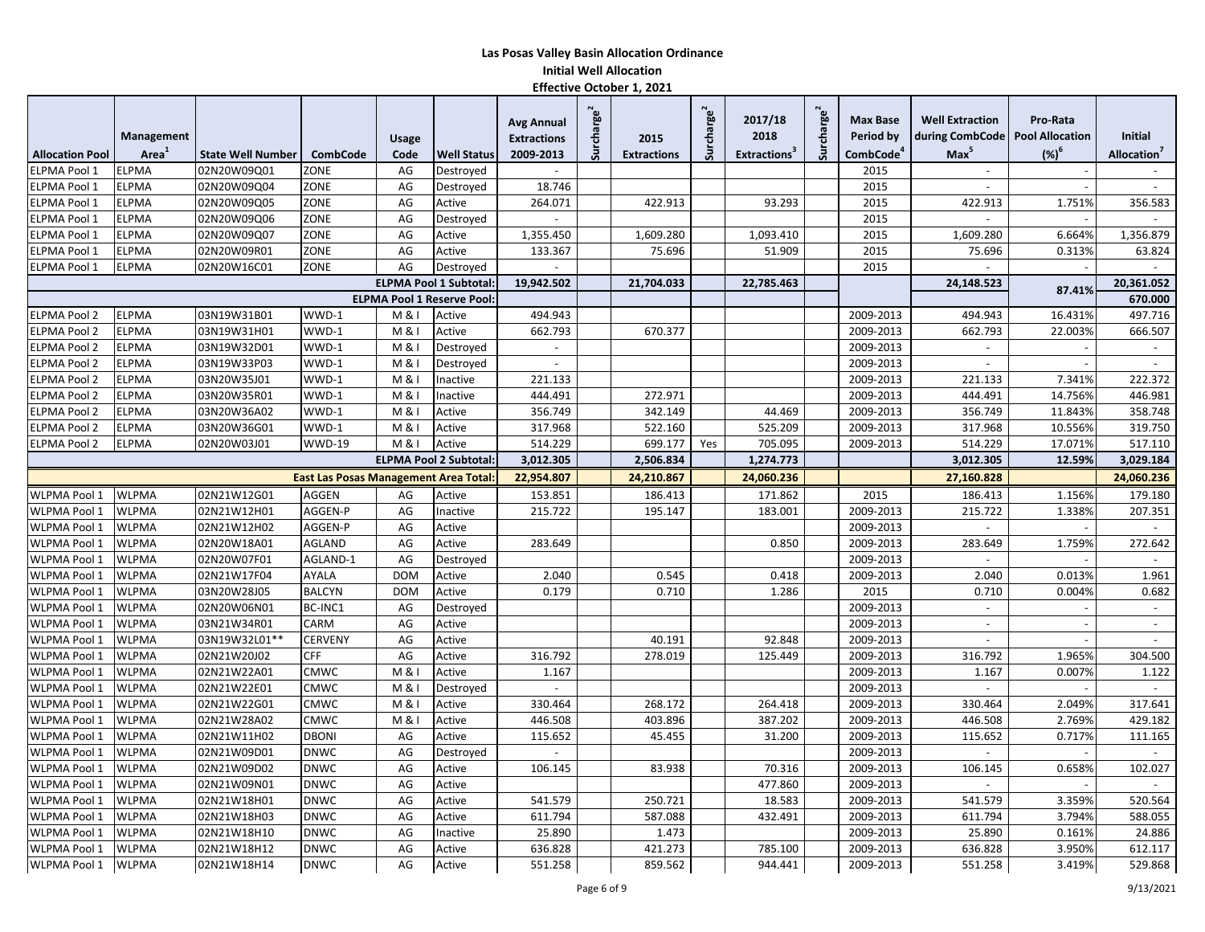|                        |                   |                          |                                              |                    |                                   | <b>Avg Annual</b>        | Surcharge <sup>2</sup> |                    | Surcharge <sup>2</sup> | 2017/18                         | Surcharge <sup>2</sup> | <b>Max Base</b>       | <b>Well Extraction</b>            | Pro-Rata   |                          |
|------------------------|-------------------|--------------------------|----------------------------------------------|--------------------|-----------------------------------|--------------------------|------------------------|--------------------|------------------------|---------------------------------|------------------------|-----------------------|-----------------------------------|------------|--------------------------|
|                        | Management        |                          |                                              | <b>Usage</b>       |                                   | <b>Extractions</b>       |                        | 2015               |                        | 2018                            |                        | Period by             | during CombCode   Pool Allocation |            | <b>Initial</b>           |
| <b>Allocation Pool</b> | Area <sup>1</sup> | <b>State Well Number</b> | <b>CombCode</b>                              | Code               | <b>Well Status</b>                | 2009-2013                |                        | <b>Extractions</b> |                        | <b>Extractions</b> <sup>3</sup> |                        | CombCode <sup>4</sup> | Max <sup>5</sup>                  | $({\%})^6$ | Allocation'              |
| <b>ELPMA Pool 1</b>    | <b>ELPMA</b>      | 02N20W09Q01              | ZONE                                         | AG                 | Destroved                         |                          |                        |                    |                        |                                 |                        | 2015                  | $\sim$                            |            |                          |
| ELPMA Pool 1           | <b>ELPMA</b>      | 02N20W09Q04              | ZONE                                         | AG                 | Destroyed                         | 18.746                   |                        |                    |                        |                                 |                        | 2015                  |                                   |            |                          |
| ELPMA Pool 1           | <b>ELPMA</b>      | 02N20W09Q05              | ZONE                                         | AG                 | Active                            | 264.071                  |                        | 422.913            |                        | 93.293                          |                        | 2015                  | 422.913                           | 1.751%     | 356.583                  |
| ELPMA Pool 1           | <b>ELPMA</b>      | 02N20W09Q06              | ZONE                                         | AG                 | Destroyed                         |                          |                        |                    |                        |                                 |                        | 2015                  |                                   |            |                          |
| ELPMA Pool 1           | <b>ELPMA</b>      | 02N20W09Q07              | ZONE                                         | AG                 | Active                            | 1,355.450                |                        | 1,609.280          |                        | 1,093.410                       |                        | 2015                  | 1,609.280                         | 6.664%     | 1,356.879                |
| ELPMA Pool 1           | <b>ELPMA</b>      | 02N20W09R01              | ZONE                                         | AG                 | Active                            | 133.367                  |                        | 75.696             |                        | 51.909                          |                        | 2015                  | 75.696                            | 0.313%     | 63.824                   |
| ELPMA Pool 1           | <b>ELPMA</b>      | 02N20W16C01              | ZONE                                         | AG                 | Destroyed                         |                          |                        |                    |                        |                                 |                        | 2015                  |                                   |            |                          |
|                        |                   |                          |                                              |                    | <b>ELPMA Pool 1 Subtotal</b>      | 19,942.502               |                        | 21,704.033         |                        | 22,785.463                      |                        |                       | 24,148.523                        | 87.41%     | 20,361.052               |
|                        |                   |                          |                                              |                    | <b>ELPMA Pool 1 Reserve Pool:</b> |                          |                        |                    |                        |                                 |                        |                       |                                   |            | 670.000                  |
| <b>ELPMA Pool 2</b>    | <b>ELPMA</b>      | 03N19W31B01              | WWD-1                                        | M & I              | Active                            | 494.943                  |                        |                    |                        |                                 |                        | 2009-2013             | 494.943                           | 16.431%    | 497.716                  |
| <b>ELPMA Pool 2</b>    | <b>ELPMA</b>      | 03N19W31H01              | WWD-1                                        | M & I              | Active                            | 662.793                  |                        | 670.377            |                        |                                 |                        | 2009-2013             | 662.793                           | 22.003%    | 666.507                  |
| <b>ELPMA Pool 2</b>    | <b>ELPMA</b>      | 03N19W32D01              | WWD-1                                        | M & I              | Destroyed                         | $\overline{\phantom{a}}$ |                        |                    |                        |                                 |                        | 2009-2013             | $\overline{\phantom{a}}$          |            | $\sim$                   |
| <b>ELPMA Pool 2</b>    | <b>ELPMA</b>      | 03N19W33P03              | WWD-1                                        | M & I              | Destroyed                         | $\mathcal{L}$            |                        |                    |                        |                                 |                        | 2009-2013             | $\blacksquare$                    |            | $\sim$                   |
| <b>ELPMA Pool 2</b>    | <b>ELPMA</b>      | 03N20W35J01              | WWD-1                                        | M & I              | Inactive                          | 221.133                  |                        |                    |                        |                                 |                        | 2009-2013             | 221.133                           | 7.341%     | 222.372                  |
| <b>ELPMA Pool 2</b>    | <b>ELPMA</b>      | 03N20W35R01              | WWD-1                                        | M & I              | Inactive                          | 444.491                  |                        | 272.971            |                        |                                 |                        | 2009-2013             | 444.491                           | 14.7569    | 446.981                  |
| <b>ELPMA Pool 2</b>    | <b>ELPMA</b>      | 03N20W36A02              | WWD-1                                        | $M & \overline{I}$ | Active                            | 356.749                  |                        | 342.149            |                        | 44.469                          |                        | 2009-2013             | 356.749                           | 11.843%    | 358.748                  |
| <b>ELPMA Pool 2</b>    | <b>ELPMA</b>      | 03N20W36G01              | WWD-1                                        | <b>M&amp;I</b>     | Active                            | 317.968                  |                        | 522.160            |                        | 525.209                         |                        | 2009-2013             | 317.968                           | 10.556%    | 319.750                  |
| <b>ELPMA Pool 2</b>    | <b>ELPMA</b>      | 02N20W03J01              | <b>WWD-19</b>                                | M & I              | Active                            | 514.229                  |                        | 699.177            | Yes                    | 705.095                         |                        | 2009-2013             | 514.229                           | 17.071%    | 517.110                  |
|                        |                   |                          |                                              |                    | <b>ELPMA Pool 2 Subtotal:</b>     | 3,012.305                |                        | 2,506.834          |                        | 1,274.773                       |                        |                       | 3,012.305                         | 12.59%     | 3,029.184                |
|                        |                   |                          | <b>East Las Posas Management Area Total:</b> |                    |                                   | 22,954.807               |                        | 24,210.867         |                        | 24,060.236                      |                        |                       | 27,160.828                        |            | 24,060.236               |
| WLPMA Pool 1           | <b>WLPMA</b>      | 02N21W12G01              | AGGEN                                        | AG                 | Active                            | 153.851                  |                        | 186.413            |                        | 171.862                         |                        | 2015                  | 186.413                           | 1.156%     | 179.180                  |
| WLPMA Pool 1           | <b>WLPMA</b>      | 02N21W12H01              | AGGEN-P                                      | AG                 | Inactive                          | 215.722                  |                        | 195.147            |                        | 183.001                         |                        | 2009-2013             | 215.722                           | 1.338%     | 207.351                  |
| WLPMA Pool 1           | <b>WLPMA</b>      | 02N21W12H02              | AGGEN-P                                      | AG                 | Active                            |                          |                        |                    |                        |                                 |                        | 2009-2013             |                                   |            |                          |
| WLPMA Pool 1           | <b>WLPMA</b>      | 02N20W18A01              | AGLAND                                       | AG                 | Active                            | 283.649                  |                        |                    |                        | 0.850                           |                        | 2009-2013             | 283.649                           | 1.759%     | 272.642                  |
| WLPMA Pool 1           | <b>WLPMA</b>      | 02N20W07F01              | AGLAND-1                                     | AG                 | Destroyed                         |                          |                        |                    |                        |                                 |                        | 2009-2013             |                                   |            |                          |
| <b>WLPMA Pool 1</b>    | <b>WLPMA</b>      | 02N21W17F04              | AYALA                                        | <b>DOM</b>         | Active                            | 2.040                    |                        | 0.545              |                        | 0.418                           |                        | 2009-2013             | 2.040                             | 0.013%     | 1.961                    |
| <b>WLPMA Pool 1</b>    | <b>WLPMA</b>      | 03N20W28J05              | <b>BALCYN</b>                                | <b>DOM</b>         | Active                            | 0.179                    |                        | 0.710              |                        | 1.286                           |                        | 2015                  | 0.710                             | 0.004%     | 0.682                    |
| <b>WLPMA Pool 1</b>    | <b>WLPMA</b>      | 02N20W06N01              | BC-INC1                                      | AG                 | Destroved                         |                          |                        |                    |                        |                                 |                        | 2009-2013             | $\overline{\phantom{a}}$          |            | $\overline{\phantom{a}}$ |
| WLPMA Pool 1           | <b>WLPMA</b>      | 03N21W34R01              | CARM                                         | AG                 | Active                            |                          |                        |                    |                        |                                 |                        | 2009-2013             | $\sim$                            |            | $\sim$                   |
| WLPMA Pool 1           | <b>WLPMA</b>      | 03N19W32L01**            | <b>CERVENY</b>                               | AG                 | Active                            |                          |                        | 40.191             |                        | 92.848                          |                        | 2009-2013             | $\blacksquare$                    |            | $\sim$                   |
| WLPMA Pool 1           | <b>WLPMA</b>      | 02N21W20J02              | CFF                                          | AG                 | Active                            | 316.792                  |                        | 278.019            |                        | 125.449                         |                        | 2009-2013             | 316.792                           | 1.965%     | 304.500                  |
| WLPMA Pool 1           | <b>WLPMA</b>      | 02N21W22A01              | CMWC                                         | M & I              | Active                            | 1.167                    |                        |                    |                        |                                 |                        | 2009-2013             | 1.167                             | 0.007%     | 1.122                    |
| WLPMA Pool 1           | <b>WLPMA</b>      | 02N21W22E01              | <b>CMWC</b>                                  | M & I              | Destroyed                         |                          |                        |                    |                        |                                 |                        | 2009-2013             |                                   |            | $\overline{a}$           |
| WLPMA Pool 1           | <b>WLPMA</b>      | 02N21W22G01              | CMWC                                         | M & I              | Active                            | 330.464                  |                        | 268.172            |                        | 264.418                         |                        | 2009-2013             | 330.464                           | 2.049%     | 317.641                  |
| WLPMA Pool 1           | <b>WLPMA</b>      | 02N21W28A02              | CMWC                                         | M & I              | Active                            | 446.508                  |                        | 403.896            |                        | 387.202                         |                        | 2009-2013             | 446.508                           | 2.769%     | 429.182                  |
| WLPMA Pool 1           | <b>WLPMA</b>      | 02N21W11H02              | DBONI                                        | AG                 | Active                            | 115.652                  |                        | 45.455             |                        | 31.200                          |                        | 2009-2013             | 115.652                           | 0.717%     | 111.165                  |
| WLPMA Pool 1           | <b>WLPMA</b>      | 02N21W09D01              | <b>DNWC</b>                                  | AG                 | Destroyed                         |                          |                        |                    |                        |                                 |                        | 2009-2013             |                                   |            |                          |
| WLPMA Pool 1           | <b>WLPMA</b>      | 02N21W09D02              | <b>DNWC</b>                                  | AG                 | Active                            | 106.145                  |                        | 83.938             |                        | 70.316                          |                        | 2009-2013             | 106.145                           | 0.658%     | 102.027                  |
| WLPMA Pool 1           | <b>WLPMA</b>      | 02N21W09N01              | <b>DNWC</b>                                  | AG                 | Active                            |                          |                        |                    |                        | 477.860                         |                        | 2009-2013             |                                   |            |                          |
| <b>WLPMA Pool 1</b>    | <b>WLPMA</b>      | 02N21W18H01              | <b>DNWC</b>                                  | AG                 | Active                            | 541.579                  |                        | 250.721            |                        | 18.583                          |                        | 2009-2013             | 541.579                           | 3.359%     | 520.564                  |
| WLPMA Pool 1           | <b>WLPMA</b>      | 02N21W18H03              | <b>DNWC</b>                                  | AG                 | Active                            | 611.794                  |                        | 587.088            |                        | 432.491                         |                        | 2009-2013             | 611.794                           | 3.794%     | 588.055                  |
| <b>WLPMA Pool 1</b>    | <b>WLPMA</b>      | 02N21W18H10              | <b>DNWC</b>                                  | AG                 | Inactive                          | 25.890                   |                        | 1.473              |                        |                                 |                        | 2009-2013             | 25.890                            | 0.161%     | 24.886                   |
| <b>WLPMA Pool 1</b>    | <b>WLPMA</b>      | 02N21W18H12              | <b>DNWC</b>                                  | AG                 | Active                            | 636.828                  |                        | 421.273            |                        | 785.100                         |                        | 2009-2013             | 636.828                           | 3.950%     | 612.117                  |
| WLPMA Pool 1           | <b>WLPMA</b>      | 02N21W18H14              | <b>DNWC</b>                                  | AG                 | Active                            | 551.258                  |                        | 859.562            |                        | 944.441                         |                        | 2009-2013             | 551.258                           | 3.419%     | 529.868                  |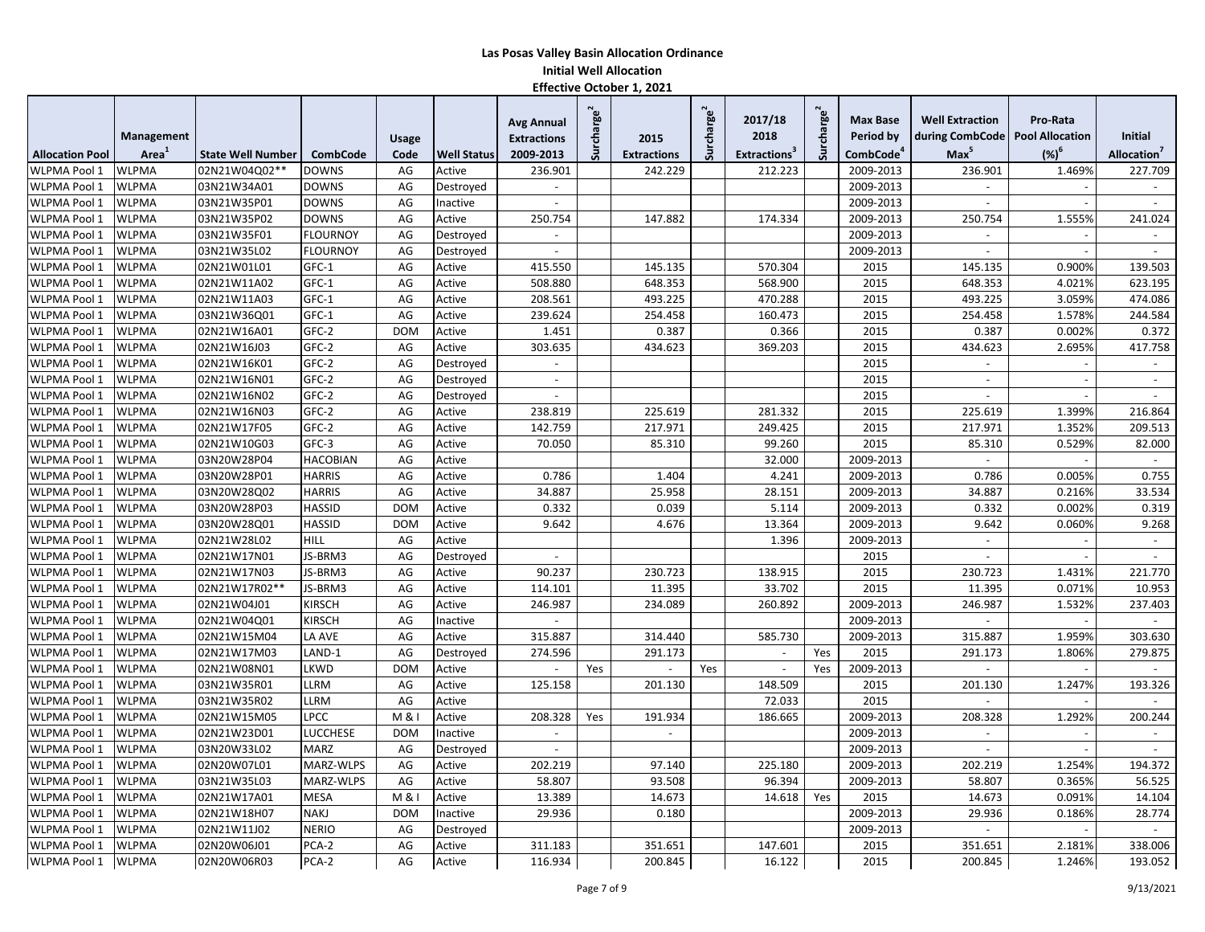|                        |                   |                          |                 |              |                    | <b>Avg Annual</b>  | Surcharge $^2$ |                    | Surcharge <sup>2</sup> | 2017/18                         | Surcharge <sup>2</sup> | <b>Max Base</b>       | <b>Well Extraction</b>            | Pro-Rata |                          |
|------------------------|-------------------|--------------------------|-----------------|--------------|--------------------|--------------------|----------------|--------------------|------------------------|---------------------------------|------------------------|-----------------------|-----------------------------------|----------|--------------------------|
|                        | Management        |                          |                 | <b>Usage</b> |                    | <b>Extractions</b> |                | 2015               |                        | 2018                            |                        | Period by             | during CombCode   Pool Allocation |          | <b>Initial</b>           |
| <b>Allocation Pool</b> | Area <sup>®</sup> | <b>State Well Number</b> | <b>CombCode</b> | Code         | <b>Well Status</b> | 2009-2013          |                | <b>Extractions</b> |                        | <b>Extractions</b> <sup>3</sup> |                        | CombCode <sup>4</sup> | Max <sup>5</sup>                  | $(%)^6$  | Allocation <sup>'</sup>  |
| <b>WLPMA Pool 1</b>    | <b>WLPMA</b>      | 02N21W04Q02**            | <b>DOWNS</b>    | AG           | Active             | 236.901            |                | 242.229            |                        | 212.223                         |                        | 2009-2013             | 236.901                           | 1.469%   | 227.709                  |
| WLPMA Pool 1           | <b>WLPMA</b>      | 03N21W34A01              | <b>DOWNS</b>    | AG           | Destroved          |                    |                |                    |                        |                                 |                        | 2009-2013             | $\sim$                            |          | $\sim$                   |
| WLPMA Pool 1           | <b>WLPMA</b>      | 03N21W35P01              | <b>DOWNS</b>    | AG           | Inactive           | $\overline{a}$     |                |                    |                        |                                 |                        | 2009-2013             | $\overline{a}$                    |          | $\overline{a}$           |
| WLPMA Pool 1           | <b>WLPMA</b>      | 03N21W35P02              | <b>DOWNS</b>    | AG           | Active             | 250.754            |                | 147.882            |                        | 174.334                         |                        | 2009-2013             | 250.754                           | 1.555%   | 241.024                  |
| WLPMA Pool 1           | <b>WLPMA</b>      | 03N21W35F01              | <b>FLOURNOY</b> | AG           | Destroyed          | $\sim$             |                |                    |                        |                                 |                        | 2009-2013             | $\sim$                            |          | $\overline{\phantom{a}}$ |
| WLPMA Pool 1           | <b>WLPMA</b>      | 03N21W35L02              | <b>FLOURNOY</b> | AG           | Destroyed          |                    |                |                    |                        |                                 |                        | 2009-2013             |                                   |          |                          |
| WLPMA Pool 1           | <b>WLPMA</b>      | 02N21W01L01              | GFC-1           | AG           | Active             | 415.550            |                | 145.135            |                        | 570.304                         |                        | 2015                  | 145.135                           | 0.900%   | 139.503                  |
| WLPMA Pool 1           | <b>WLPMA</b>      | 02N21W11A02              | GFC-1           | AG           | Active             | 508.880            |                | 648.353            |                        | 568.900                         |                        | 2015                  | 648.353                           | 4.021%   | 623.195                  |
| WLPMA Pool 1           | <b>WLPMA</b>      | 02N21W11A03              | GFC-1           | AG           | Active             | 208.561            |                | 493.225            |                        | 470.288                         |                        | 2015                  | 493.225                           | 3.059%   | 474.086                  |
| WLPMA Pool 1           | <b>WLPMA</b>      | 03N21W36Q01              | GFC-1           | AG           | Active             | 239.624            |                | 254.458            |                        | 160.473                         |                        | 2015                  | 254.458                           | 1.578%   | 244.584                  |
| WLPMA Pool 1           | <b>WLPMA</b>      | 02N21W16A01              | GFC-2           | <b>DOM</b>   | Active             | 1.451              |                | 0.387              |                        | 0.366                           |                        | 2015                  | 0.387                             | 0.002%   | 0.372                    |
| WLPMA Pool 1           | <b>WLPMA</b>      | 02N21W16J03              | GFC-2           | AG           | Active             | 303.635            |                | 434.623            |                        | 369.203                         |                        | 2015                  | 434.623                           | 2.695%   | 417.758                  |
| WLPMA Pool 1           | <b>WLPMA</b>      | 02N21W16K01              | GFC-2           | AG           | Destroyed          | $\overline{a}$     |                |                    |                        |                                 |                        | 2015                  | $\overline{a}$                    |          |                          |
| WLPMA Pool 1           | <b>WLPMA</b>      | 02N21W16N01              | GFC-2           | AG           | Destroyed          | $\sim$             |                |                    |                        |                                 |                        | 2015                  | $\sim$                            |          | $\blacksquare$           |
| WLPMA Pool 1           | <b>WLPMA</b>      | 02N21W16N02              | GFC-2           | AG           | Destroyed          | $\sim$             |                |                    |                        |                                 |                        | 2015                  |                                   |          |                          |
| WLPMA Pool 1           | <b>WLPMA</b>      | 02N21W16N03              | GFC-2           | AG           | Active             | 238.819            |                | 225.619            |                        | 281.332                         |                        | 2015                  | 225.619                           | 1.399%   | 216.864                  |
| WLPMA Pool 1           | <b>WLPMA</b>      | 02N21W17F05              | GFC-2           | AG           | Active             | 142.759            |                | 217.971            |                        | 249.425                         |                        | 2015                  | 217.971                           | 1.352%   | 209.513                  |
| WLPMA Pool 1           | <b>WLPMA</b>      | 02N21W10G03              | GFC-3           | AG           | Active             | 70.050             |                | 85.310             |                        | 99.260                          |                        | 2015                  | 85.310                            | 0.529%   | 82.000                   |
| WLPMA Pool 1           | <b>WLPMA</b>      | 03N20W28P04              | <b>HACOBIAN</b> | AG           | Active             |                    |                |                    |                        | 32.000                          |                        | 2009-2013             | $\sim$                            |          | $\overline{\phantom{a}}$ |
| <b>WLPMA Pool 1</b>    | <b>WLPMA</b>      | 03N20W28P01              | <b>HARRIS</b>   | AG           | Active             | 0.786              |                | 1.404              |                        | 4.241                           |                        | 2009-2013             | 0.786                             | 0.005%   | 0.755                    |
| WLPMA Pool 1           | <b>WLPMA</b>      | 03N20W28Q02              | <b>HARRIS</b>   | AG           | Active             | 34.887             |                | 25.958             |                        | 28.151                          |                        | 2009-2013             | 34.887                            | 0.216%   | 33.534                   |
| WLPMA Pool 1           | <b>WLPMA</b>      | 03N20W28P03              | <b>HASSID</b>   | <b>DOM</b>   | Active             | 0.332              |                | 0.039              |                        | 5.114                           |                        | 2009-2013             | 0.332                             | 0.002%   | 0.319                    |
| <b>WLPMA Pool 1</b>    | <b>WLPMA</b>      | 03N20W28Q01              | <b>HASSID</b>   | <b>DOM</b>   | Active             | 9.642              |                | 4.676              |                        | 13.364                          |                        | 2009-2013             | 9.642                             | 0.060%   | 9.268                    |
| WLPMA Pool 1           | <b>WLPMA</b>      | 02N21W28L02              | <b>HILL</b>     | AG           | Active             |                    |                |                    |                        | 1.396                           |                        | 2009-2013             | $\overline{a}$                    |          | $\sim$                   |
| WLPMA Pool 1           | <b>WLPMA</b>      | 02N21W17N01              | JS-BRM3         | AG           | Destroyed          | $\sim$             |                |                    |                        |                                 |                        | 2015                  | $\sim$                            |          | $\sim$                   |
| WLPMA Pool 1           | <b>WLPMA</b>      | 02N21W17N03              | <b>JS-BRM3</b>  | AG           | Active             | 90.237             |                | 230.723            |                        | 138.915                         |                        | 2015                  | 230.723                           | 1.431%   | 221.770                  |
| WLPMA Pool 1           | <b>WLPMA</b>      | 02N21W17R02**            | JS-BRM3         | AG           | Active             | 114.101            |                | 11.395             |                        | 33.702                          |                        | 2015                  | 11.395                            | 0.071%   | 10.953                   |
| WLPMA Pool 1           | <b>WLPMA</b>      | 02N21W04J01              | <b>KIRSCH</b>   | AG           | Active             | 246.987            |                | 234.089            |                        | 260.892                         |                        | 2009-2013             | 246.987                           | 1.532%   | 237.403                  |
| WLPMA Pool 1           | <b>WLPMA</b>      | 02N21W04Q01              | <b>KIRSCH</b>   | AG           | Inactive           | $\sim$             |                |                    |                        |                                 |                        | 2009-2013             | $\sim$                            |          | $\blacksquare$           |
| WLPMA Pool 1           | <b>WLPMA</b>      | 02N21W15M04              | LA AVE          | AG           | Active             | 315.887            |                | 314.440            |                        | 585.730                         |                        | 2009-2013             | 315.887                           | 1.959%   | 303.630                  |
| <b>WLPMA Pool 1</b>    | <b>WLPMA</b>      | 02N21W17M03              | LAND-1          | AG           | Destroyed          | 274.596            |                | 291.173            |                        | $\blacksquare$                  | Yes                    | 2015                  | 291.173                           | 1.806%   | 279.875                  |
| WLPMA Pool 1           | <b>WLPMA</b>      | 02N21W08N01              | LKWD            | <b>DOM</b>   | Active             | $\sim$             | Yes            |                    | Yes                    | $\sim$                          | Yes                    | 2009-2013             | $\sim$                            |          | $\sim$                   |
| WLPMA Pool 1           | <b>WLPMA</b>      | 03N21W35R01              | LLRM            | AG           | Active             | 125.158            |                | 201.130            |                        | 148.509                         |                        | 2015                  | 201.130                           | 1.247%   | 193.326                  |
| <b>WLPMA Pool 1</b>    | <b>WLPMA</b>      | 03N21W35R02              | LLRM            | AG           | Active             |                    |                |                    |                        | 72.033                          |                        | 2015                  |                                   |          |                          |
| WLPMA Pool 1           | <b>WLPMA</b>      | 02N21W15M05              | LPCC            | M & I        | Active             | 208.328            | Yes            | 191.934            |                        | 186.665                         |                        | 2009-2013             | 208.328                           | 1.292%   | 200.244                  |
| WLPMA Pool 1           | <b>WLPMA</b>      | 02N21W23D01              | LUCCHESE        | <b>DOM</b>   | Inactive           |                    |                |                    |                        |                                 |                        | 2009-2013             |                                   |          |                          |
| WLPMA Pool 1           | <b>WLPMA</b>      | 03N20W33L02              | <b>MARZ</b>     | AG           | Destroyed          |                    |                |                    |                        |                                 |                        | 2009-2013             |                                   |          |                          |
| WLPMA Pool 1           | <b>WLPMA</b>      | 02N20W07L01              | MARZ-WLPS       | AG           | Active             | 202.219            |                | 97.140             |                        | 225.180                         |                        | 2009-2013             | 202.219                           | 1.254%   | 194.372                  |
| WLPMA Pool 1           | <b>WLPMA</b>      | 03N21W35L03              | MARZ-WLPS       | AG           | Active             | 58.807             |                | 93.508             |                        | 96.394                          |                        | 2009-2013             | 58.807                            | 0.365%   | 56.525                   |
| WLPMA Pool 1           | <b>WLPMA</b>      | 02N21W17A01              | <b>MESA</b>     | M & I        | Active             | 13.389             |                | 14.673             |                        | 14.618                          | Yes                    | 2015                  | 14.673                            | 0.091%   | 14.104                   |
| WLPMA Pool 1           | <b>WLPMA</b>      | 02N21W18H07              | <b>NAKJ</b>     | <b>DOM</b>   | Inactive           | 29.936             |                | 0.180              |                        |                                 |                        | 2009-2013             | 29.936                            | 0.186%   | 28.774                   |
| WLPMA Pool 1           | <b>WLPMA</b>      | 02N21W11J02              | <b>NERIO</b>    | AG           | Destroyed          |                    |                |                    |                        |                                 |                        | 2009-2013             | $\mathbf{r}$                      |          | $\blacksquare$           |
| WLPMA Pool 1           | <b>WLPMA</b>      | 02N20W06J01              | PCA-2           | AG           | Active             | 311.183            |                | 351.651            |                        | 147.601                         |                        | 2015                  | 351.651                           | 2.181%   | 338.006                  |
| WLPMA Pool 1           | <b>WLPMA</b>      | 02N20W06R03              | PCA-2           | AG           | Active             | 116.934            |                | 200.845            |                        | 16.122                          |                        | 2015                  | 200.845                           | 1.246%   | 193.052                  |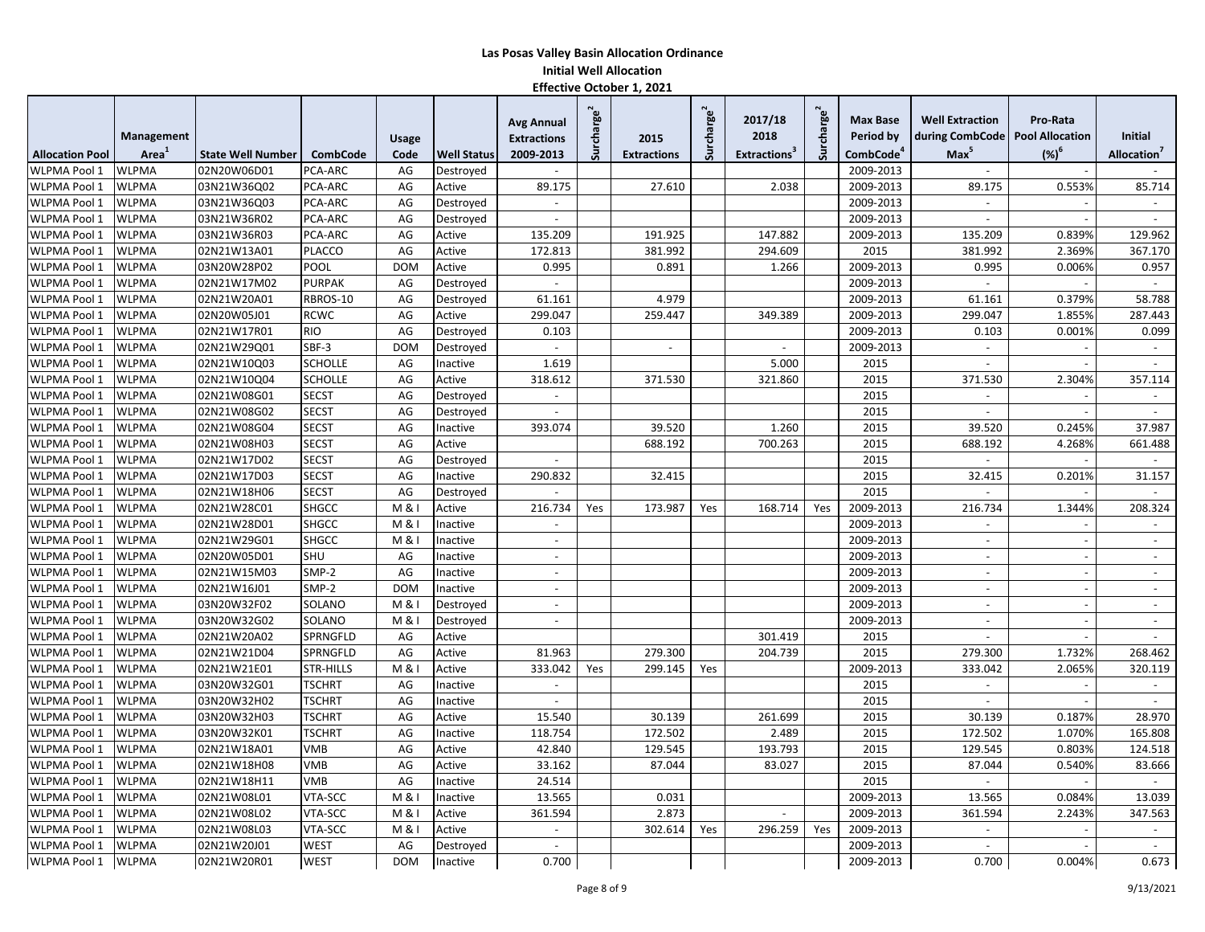|                        |              |                          |                  |              |                    | <b>Avg Annual</b>        | Surcharge $^2$ |                    | Surcharge <sup>2</sup> | 2017/18                         | charge <sup>2</sup> | <b>Max Base</b>       | <b>Well Extraction</b>            | Pro-Rata |                          |
|------------------------|--------------|--------------------------|------------------|--------------|--------------------|--------------------------|----------------|--------------------|------------------------|---------------------------------|---------------------|-----------------------|-----------------------------------|----------|--------------------------|
|                        | Management   |                          |                  | <b>Usage</b> |                    | <b>Extractions</b>       |                | 2015               |                        | 2018                            |                     | <b>Period by</b>      | during CombCode   Pool Allocation |          | <b>Initial</b>           |
| <b>Allocation Pool</b> | Area         | <b>State Well Number</b> | <b>CombCode</b>  | Code         | <b>Well Status</b> | 2009-2013                |                | <b>Extractions</b> |                        | <b>Extractions</b> <sup>3</sup> | ັ້ນ                 | CombCode <sup>4</sup> | Max <sup>5</sup>                  | $(%)^6$  | Allocation <sup>®</sup>  |
| <b>WLPMA Pool 1</b>    | <b>WLPMA</b> | 02N20W06D01              | PCA-ARC          | AG           | Destroyed          | $\sim$                   |                |                    |                        |                                 |                     | 2009-2013             |                                   |          | $\sim$                   |
| WLPMA Pool 1           | <b>WLPMA</b> | 03N21W36Q02              | PCA-ARC          | AG           | Active             | 89.175                   |                | 27.610             |                        | 2.038                           |                     | 2009-2013             | 89.175                            | 0.553%   | 85.714                   |
| WLPMA Pool 1           | <b>WLPMA</b> | 03N21W36Q03              | PCA-ARC          | AG           | Destroyed          | $\overline{a}$           |                |                    |                        |                                 |                     | 2009-2013             | $\sim$                            |          | $\blacksquare$           |
| WLPMA Pool 1           | <b>WLPMA</b> | 03N21W36R02              | PCA-ARC          | AG           | Destroyed          | $\overline{a}$           |                |                    |                        |                                 |                     | 2009-2013             |                                   |          | $\overline{a}$           |
| WLPMA Pool 1           | <b>WLPMA</b> | 03N21W36R03              | PCA-ARC          | AG           | Active             | 135.209                  |                | 191.925            |                        | 147.882                         |                     | 2009-2013             | 135.209                           | 0.839%   | 129.962                  |
| WLPMA Pool 1           | <b>WLPMA</b> | 02N21W13A01              | PLACCO           | AG           | Active             | 172.813                  |                | 381.992            |                        | 294.609                         |                     | 2015                  | 381.992                           | 2.369%   | 367.170                  |
| WLPMA Pool 1           | <b>WLPMA</b> | 03N20W28P02              | POOL             | <b>DOM</b>   | Active             | 0.995                    |                | 0.891              |                        | 1.266                           |                     | 2009-2013             | 0.995                             | 0.006%   | 0.957                    |
| WLPMA Pool 1           | <b>WLPMA</b> | 02N21W17M02              | <b>PURPAK</b>    | AG           | Destroyed          |                          |                |                    |                        |                                 |                     | 2009-2013             |                                   |          |                          |
| WLPMA Pool 1           | <b>WLPMA</b> | 02N21W20A01              | RBROS-10         | AG           | Destroyed          | 61.161                   |                | 4.979              |                        |                                 |                     | 2009-2013             | 61.161                            | 0.379%   | 58.788                   |
| WLPMA Pool 1           | <b>WLPMA</b> | 02N20W05J01              | <b>RCWC</b>      | AG           | Active             | 299.047                  |                | 259.447            |                        | 349.389                         |                     | 2009-2013             | 299.047                           | 1.855%   | 287.443                  |
| WLPMA Pool 1           | <b>WLPMA</b> | 02N21W17R01              | <b>RIO</b>       | AG           | Destroyed          | 0.103                    |                |                    |                        |                                 |                     | 2009-2013             | 0.103                             | 0.001%   | 0.099                    |
| WLPMA Pool 1           | <b>WLPMA</b> | 02N21W29Q01              | SBF-3            | <b>DOM</b>   | Destroyed          | $\sim$                   |                |                    |                        | $\sim$                          |                     | 2009-2013             | $\sim$                            |          | $\sim$                   |
| WLPMA Pool 1           | <b>WLPMA</b> | 02N21W10Q03              | <b>SCHOLLE</b>   | AG           | Inactive           | 1.619                    |                |                    |                        | 5.000                           |                     | 2015                  |                                   |          | $\sim$                   |
| WLPMA Pool 1           | <b>WLPMA</b> | 02N21W10Q04              | <b>SCHOLLE</b>   | AG           | Active             | 318.612                  |                | 371.530            |                        | 321.860                         |                     | 2015                  | 371.530                           | 2.304%   | 357.114                  |
| WLPMA Pool 1           | <b>WLPMA</b> | 02N21W08G01              | <b>SECST</b>     | AG           | Destroyed          | $\overline{a}$           |                |                    |                        |                                 |                     | 2015                  |                                   |          | $\overline{\phantom{a}}$ |
| WLPMA Pool 1           | <b>WLPMA</b> | 02N21W08G02              | <b>SECST</b>     | AG           | Destroyed          | $\overline{a}$           |                |                    |                        |                                 |                     | 2015                  |                                   |          | $\sim$                   |
| WLPMA Pool 1           | <b>WLPMA</b> | 02N21W08G04              | <b>SECST</b>     | AG           | Inactive           | 393.074                  |                | 39.520             |                        | 1.260                           |                     | 2015                  | 39.520                            | 0.245%   | 37.987                   |
| WLPMA Pool 1           | <b>WLPMA</b> | 02N21W08H03              | <b>SECST</b>     | AG           | Active             |                          |                | 688.192            |                        | 700.263                         |                     | 2015                  | 688.192                           | 4.268%   | 661.488                  |
| WLPMA Pool 1           | <b>WLPMA</b> | 02N21W17D02              | <b>SECST</b>     | AG           | Destroved          | $\overline{\phantom{a}}$ |                |                    |                        |                                 |                     | 2015                  |                                   |          | $\overline{\phantom{a}}$ |
| WLPMA Pool 1           | <b>WLPMA</b> | 02N21W17D03              | <b>SECST</b>     | AG           | Inactive           | 290.832                  |                | 32.415             |                        |                                 |                     | 2015                  | 32.415                            | 0.201%   | 31.157                   |
| WLPMA Pool 1           | <b>WLPMA</b> | 02N21W18H06              | <b>SECST</b>     | AG           | Destroyed          | $\overline{a}$           |                |                    |                        |                                 |                     | 2015                  | $\sim$                            |          | $\sim$                   |
| WLPMA Pool 1           | <b>WLPMA</b> | 02N21W28C01              | <b>SHGCC</b>     | M & I        | Active             | 216.734                  | Yes            | 173.987            | Yes                    | 168.714                         | Yes                 | 2009-2013             | 216.734                           | 1.344%   | 208.324                  |
| WLPMA Pool 1           | <b>WLPMA</b> | 02N21W28D01              | <b>SHGCC</b>     | M & I        | Inactive           |                          |                |                    |                        |                                 |                     | 2009-2013             |                                   |          |                          |
| <b>WLPMA Pool 1</b>    | <b>WLPMA</b> | 02N21W29G01              | <b>SHGCC</b>     | M & I        | Inactive           | $\sim$                   |                |                    |                        |                                 |                     | 2009-2013             | $\sim$                            |          | $\overline{\phantom{a}}$ |
| WLPMA Pool 1           | <b>WLPMA</b> | 02N20W05D01              | SHU              | AG           | Inactive           | $\blacksquare$           |                |                    |                        |                                 |                     | 2009-2013             | $\sim$                            |          | $\overline{\phantom{a}}$ |
| <b>WLPMA Pool 1</b>    | <b>WLPMA</b> | 02N21W15M03              | SMP-2            | AG           | Inactive           | $\overline{\phantom{a}}$ |                |                    |                        |                                 |                     | 2009-2013             |                                   |          | $\sim$                   |
| <b>WLPMA Pool 1</b>    | <b>WLPMA</b> | 02N21W16J01              | SMP-2            | <b>DOM</b>   | Inactive           | $\blacksquare$           |                |                    |                        |                                 |                     | 2009-2013             | $\overline{\phantom{a}}$          |          | $\blacksquare$           |
| WLPMA Pool 1           | <b>WLPMA</b> | 03N20W32F02              | SOLANO           | M & I        | Destroyed          | $\blacksquare$           |                |                    |                        |                                 |                     | 2009-2013             |                                   |          | $\overline{\phantom{a}}$ |
| WLPMA Pool 1           | <b>WLPMA</b> | 03N20W32G02              | SOLANO           | M & I        | Destroyed          | $\overline{\phantom{a}}$ |                |                    |                        |                                 |                     | 2009-2013             | $\overline{\phantom{a}}$          |          | $\overline{\phantom{a}}$ |
| WLPMA Pool 1           | <b>WLPMA</b> | 02N21W20A02              | <b>SPRNGFLD</b>  | AG           | Active             |                          |                |                    |                        | 301.419                         |                     | 2015                  | $\overline{\phantom{a}}$          |          | $\blacksquare$           |
| WLPMA Pool 1           | <b>WLPMA</b> | 02N21W21D04              | SPRNGFLD         | AG           | Active             | 81.963                   |                | 279.300            |                        | 204.739                         |                     | 2015                  | 279.300                           | 1.732%   | 268.462                  |
| WLPMA Pool 1           | <b>WLPMA</b> | 02N21W21E01              | <b>STR-HILLS</b> | M & I        | Active             | 333.042                  | Yes            | 299.145            | Yes                    |                                 |                     | 2009-2013             | 333.042                           | 2.065%   | 320.119                  |
| WLPMA Pool 1           | <b>WLPMA</b> | 03N20W32G01              | <b>TSCHRT</b>    | AG           | Inactive           | $\overline{a}$           |                |                    |                        |                                 |                     | 2015                  | $\sim$                            |          | $\omega$                 |
| WLPMA Pool 1           | <b>WLPMA</b> | 03N20W32H02              | <b>TSCHRT</b>    | AG           | Inactive           | $\sim$                   |                |                    |                        |                                 |                     | 2015                  |                                   |          | $\sim$                   |
| <b>WLPMA Pool 1</b>    | <b>WLPMA</b> | 03N20W32H03              | <b>TSCHRT</b>    | AG           | Active             | 15.540                   |                | 30.139             |                        | 261.699                         |                     | 2015                  | 30.139                            | 0.187%   | 28.970                   |
| <b>WLPMA Pool 1</b>    | <b>WLPMA</b> | 03N20W32K01              | <b>TSCHRT</b>    | AG           | Inactive           | 118.754                  |                | 172.502            |                        | 2.489                           |                     | 2015                  | 172.502                           | 1.070%   | 165.808                  |
| WLPMA Pool 1           | <b>WLPMA</b> | 02N21W18A01              | <b>VMB</b>       | AG           | Active             | 42.840                   |                | 129.545            |                        | 193.793                         |                     | 2015                  | 129.545                           | 0.803%   | 124.518                  |
| WLPMA Pool 1           | <b>WLPMA</b> | 02N21W18H08              | <b>VMB</b>       | AG           | Active             | 33.162                   |                | 87.044             |                        | 83.027                          |                     | 2015                  | 87.044                            | 0.540%   | 83.666                   |
| WLPMA Pool 1           | <b>WLPMA</b> | 02N21W18H11              | <b>VMB</b>       | AG           | Inactive           | 24.514                   |                |                    |                        |                                 |                     | 2015                  |                                   |          | $\blacksquare$           |
| <b>WLPMA Pool 1</b>    | <b>WLPMA</b> | 02N21W08L01              | VTA-SCC          | M &          | Inactive           | 13.565                   |                | 0.031              |                        |                                 |                     | 2009-2013             | 13.565                            | 0.084%   | 13.039                   |
| WLPMA Pool 1           | <b>WLPMA</b> | 02N21W08L02              | VTA-SCC          | M & I        | Active             | 361.594                  |                | 2.873              |                        | $\sim$                          |                     | 2009-2013             | 361.594                           | 2.243%   | 347.563                  |
| WLPMA Pool 1           | <b>WLPMA</b> | 02N21W08L03              | VTA-SCC          | M &          | Active             | $\blacksquare$           |                | 302.614            | Yes                    | 296.259                         | Yes                 | 2009-2013             | $\sim$                            |          | $\sim$                   |
| WLPMA Pool 1           | <b>WLPMA</b> | 02N21W20J01              | <b>WEST</b>      | AG           | Destroyed          | $\overline{\phantom{a}}$ |                |                    |                        |                                 |                     | 2009-2013             |                                   |          | $\sim$                   |
| WLPMA Pool 1           | <b>WLPMA</b> | 02N21W20R01              | <b>WEST</b>      | <b>DOM</b>   | Inactive           | 0.700                    |                |                    |                        |                                 |                     | 2009-2013             | 0.700                             | 0.004%   | 0.673                    |